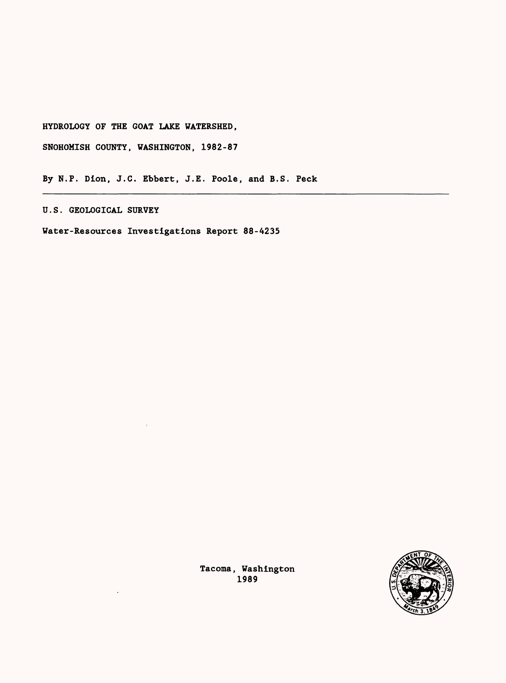HYDROLOGY OF THE GOAT LAKE WATERSHED,

SNOHOMISH COUNTY, WASHINGTON, 1982-87

By N.P. Dion, J.C. Ebbert, J.E. Poole, and B.S. Peck

U.S. GEOLOGICAL SURVEY

Water-Resources Investigations Report 88-4235



Tacoma, Washington 1989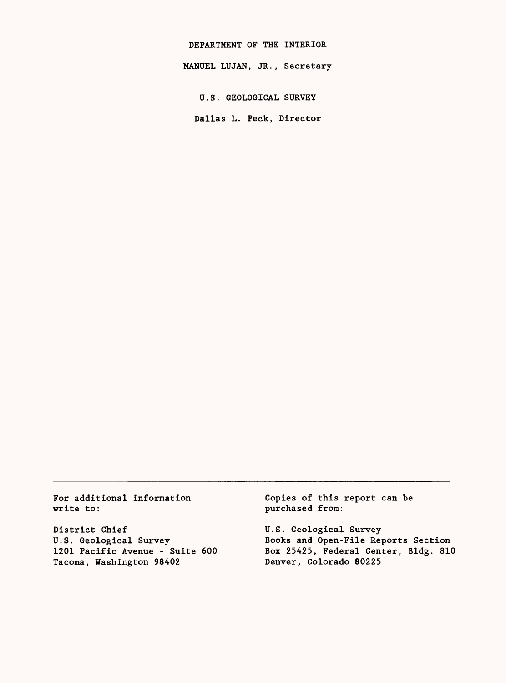DEPARTMENT OF THE INTERIOR MANUEL LUJAN, JR., Secretary

U.S. GEOLOGICAL SURVEY

Dallas L. Peck, Director

For additional information write to:

District Chief U.S. Geological Survey 1201 Pacific Avenue - Suite 600 Tacoma, Washington 98402

Copies of this report can be purchased from:

U.S. Geological Survey Books and Open-File Reports Section Box 25425, Federal Center, Bldg. 810 Denver, Colorado 80225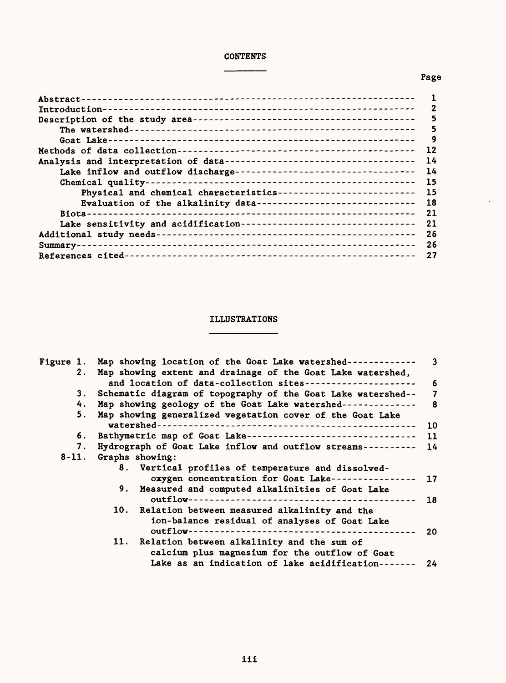## CONTENTS  $\frac{1}{2}$

# Page

 $\bar{.}$ 

|                                                                      | 2  |
|----------------------------------------------------------------------|----|
|                                                                      | 5  |
|                                                                      | 5  |
|                                                                      | 9  |
|                                                                      | 12 |
|                                                                      | 14 |
| Lake inflow and outflow discharge----------------------------------  | 14 |
|                                                                      | 15 |
| Physical and chemical characteristics--------------------------      | 15 |
| Evaluation of the alkalinity data------------------------------      | 18 |
|                                                                      | 21 |
| Lake sensitivity and acidification---------------------------------- | 21 |
|                                                                      | 26 |
|                                                                      | 26 |
|                                                                      | 27 |

## ILLUSTRATIONS <u> 1980 - James James III, mart</u>

.

 $\blacksquare$ 

|    | Figure 1. Map showing location of the Goat Lake watershed------------- | $\overline{\mathbf{3}}$ |
|----|------------------------------------------------------------------------|-------------------------|
|    | 2. Map showing extent and drainage of the Goat Lake watershed,         |                         |
|    | and location of data-collection sites---------------------             | -6                      |
| 3. | Schematic diagram of topography of the Goat Lake watershed-- 7         |                         |
| 4. | Map showing geology of the Goat Lake watershed--------------           | $\overline{\mathbf{8}}$ |
| 5. | Map showing generalized vegetation cover of the Goat Lake              |                         |
|    |                                                                        | 10                      |
| 6. | Bathymetric map of Goat Lake--------------------------------           | - 11                    |
| 7. | Hydrograph of Goat Lake inflow and outflow streams----------           | 14                      |
|    | 8-11. Graphs showing:                                                  |                         |
|    | 8. Vertical profiles of temperature and dissolved-                     |                         |
|    | oxygen concentration for Goat Lake----------------                     | 17                      |
|    | 9. Measured and computed alkalinities of Goat Lake                     |                         |
|    |                                                                        | 18                      |
|    | 10. Relation between measured alkalinity and the                       |                         |
|    | ion-balance residual of analyses of Goat Lake                          |                         |
|    |                                                                        | 20                      |
|    | 11. Relation between alkalinity and the sum of                         |                         |
|    | calcium plus magnesium for the outflow of Goat                         |                         |
|    | Lake as an indication of lake acidification-------                     | 24                      |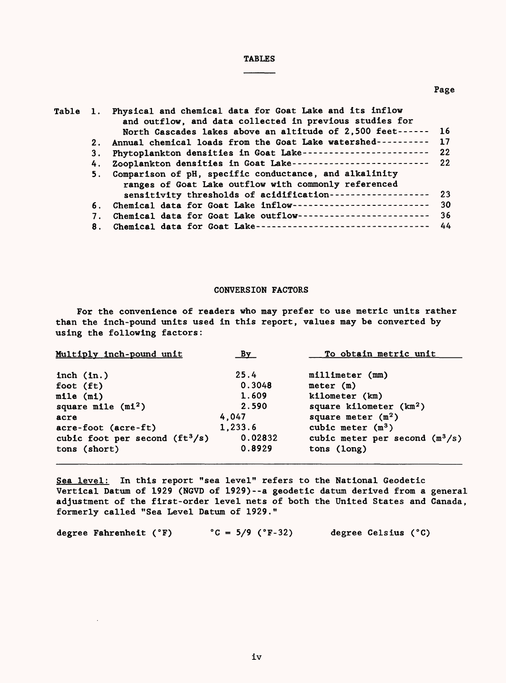## TABLES

|    | Table 1. Physical and chemical data for Goat Lake and its inflow<br>and outflow, and data collected in previous studies for |    |
|----|-----------------------------------------------------------------------------------------------------------------------------|----|
|    | North Cascades lakes above an altitude of 2,500 feet------ 16                                                               |    |
| 2. | Annual chemical loads from the Goat Lake watershed---------- 17                                                             |    |
| 3. | Phytoplankton densities in Goat Lake----------------------- 22                                                              |    |
| 4. | Zooplankton densities in Goat Lake------------------------- 22                                                              |    |
|    | 5. Comparison of pH, specific conductance, and alkalinity                                                                   |    |
|    | ranges of Goat Lake outflow with commonly referenced                                                                        |    |
|    | sensitivity thresholds of acidification------------------ 23                                                                |    |
| 6. | Chemical data for Goat Lake inflow--------------------------                                                                | 30 |
| 7. | Chemical data for Goat Lake outflow-------------------------                                                                | 36 |
| 8. | Chemical data for Goat Lake---------------------------------                                                                | 44 |
|    |                                                                                                                             |    |

#### CONVERSION FACTORS

For the convenience of readers who may prefer to use metric units rather than the inch-pound units used in this report, values may be converted by using the following factors:

| Multiply inch-pound unit         | By      | To obtain metric unit            |
|----------------------------------|---------|----------------------------------|
| inch $(in.)$                     | 25.4    | $m111$ imeter (mm)               |
| foot (ft)                        | 0.3048  | meter (m)                        |
| mile (m1)                        | 1.609   | kilometer (km)                   |
| square mile $(mi^2)$             | 2.590   | square kilometer $(km2)$         |
| acre                             | 4.047   | square meter $(m^2)$             |
| acre-foot (acre-ft)              | 1,233.6 | cubic meter $(m^3)$              |
| cubic foot per second $(ft^3/s)$ | 0.02832 | cubic meter per second $(m^3/s)$ |
| tons (short)                     | 0.8929  | tons (long)                      |

Sea level; In this report "sea level" refers to the National Geodetic Vertical Datum of 1929 (NGVD of 1929)--a geodetic datum derived from a general adjustment of the first-order level nets of both the United States and Canada, formerly called "Sea Level Datum of 1929."

degree Fahrenheit ( ${}^{\circ}$ F)  ${}^{\circ}$ C = 5/9 ( ${}^{\circ}$ F-32) degree Celsius ( ${}^{\circ}$ C)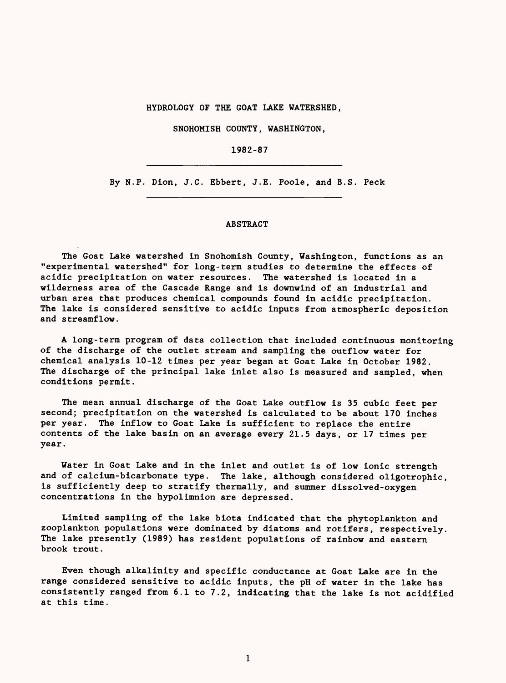HYDROLOGY OF THE GOAT LAKE WATERSHED,

SNOHOMISH COUNTY, WASHINGTON,

1982-87

By N.P. Dion, J.C. Ebbert, J.E. Poole, and B.S. Peck

#### ABSTRACT

The Goat Lake watershed in Snohomish County, Washington, functions as an "experimental watershed" for long-term studies to determine the effects of acidic precipitation on water resources. wilderness area of the Cascade Range and is downwind of an industrial and urban area that produces chemical compounds found in acidic precipitation. The lake is considered sensitive to acidic inputs from atmospheric deposition and streamflow.

A long-term program of data collection that included continuous monitoring of the discharge of the outlet stream and sampling the outflow water for chemical analysis 10-12 times per year began at Goat Lake in October 1982. The discharge of the principal lake inlet also is measured and sampled, when conditions permit.

The mean annual discharge of the Goat Lake outflow is 35 cubic feet per second; precipitation on the watershed is calculated to be about 170 inches per year. The inflow to Goat Lake is sufficient to replace the entire contents of the lake basin on an average every 21.5 days, or 17 times per year.

Water in Goat Lake and in the inlet and outlet is of low ionic strength and of calcium-bicarbonate type. The lake, although considered oligotrophic, is sufficiently deep to stratify thermally, and summer dissolved-oxygen concentrations in the hypolimnion are depressed.

Limited sampling of the lake biota indicated that the phytoplankton and zooplankton populations were dominated by diatoms and rotifers, respectively. The lake presently (1989) has resident populations of rainbow and eastern brook trout.

Even though alkalinity and specific conductance at Goat Lake are in the range considered sensitive to acidic inputs, the pH of water in the lake has consistently ranged from 6.1 to 7.2, indicating that the lake is not acidified at this time.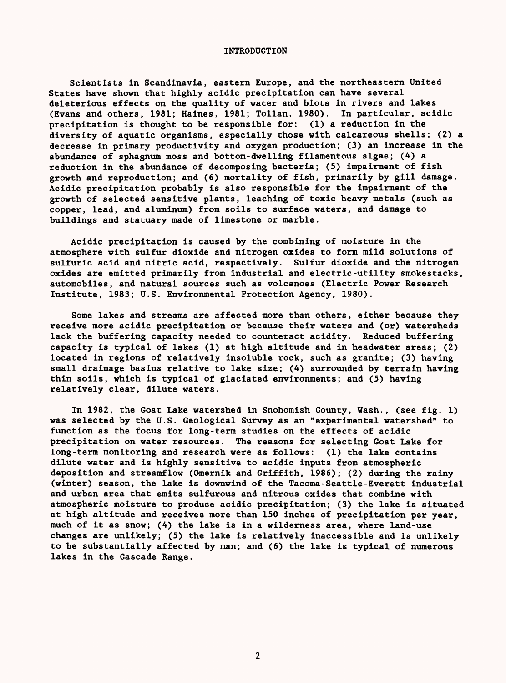#### INTRODUCTION

Scientists in Scandinavia, eastern Europe, and the northeastern United States have shown that highly acidic precipitation can have several deleterious effects on the quality of water and biota in rivers and lakes<br>(Evans and others, 1981; Haines, 1981; Tollan, 1980). In particular, acidic (Evans and others, 1981; Haines, 1981; Tollan, 1980). precipitation is thought to be responsible for: (1) a reduction in the diversity of aquatic organisms, especially those with calcareous shells; (2) a decrease in primary productivity and oxygen production; (3) an increase in the abundance of sphagnum moss and bottom-dwelling filamentous algae; (4) a reduction in the abundance of decomposing bacteria; (5) impairment of fish growth and reproduction; and (6) mortality of fish, primarily by gill damage. Acidic precipitation probably is also responsible for the impairment of the growth of selected sensitive plants, leaching of toxic heavy metals (such as copper, lead, and aluminum) from soils to surface waters, and damage to buildings and statuary made of limestone or marble.

Acidic precipitation is caused by the combining of moisture in the atmosphere with sulfur dioxide and nitrogen oxides to form mild solutions of sulfuric acid and nitric acid, respectively. Sulfur dioxide and the nitrogen oxides are emitted primarily from industrial and electric-utility smokestacks, automobiles, and natural sources such as volcanoes (Electric Power Research Institute, 1983; U.S. Environmental Protection Agency, 1980).

Some lakes and streams are affected more than others, either because they receive more acidic precipitation or because their waters and (or) watersheds lack the buffering capacity needed to counteract acidity. Reduced buffering capacity is typical of lakes (1) at high altitude and in headwater areas; (2) located in regions of relatively insoluble rock, such as granite; (3) having small drainage basins relative to lake size; (4) surrounded by terrain having thin soils, which is typical of glaciated environments; and (5) having relatively clear, dilute waters.

In 1982, the Goat Lake watershed in Snohomish County, Wash., (see fig. 1) was selected by the U.S. Geological Survey as an "experimental watershed" to function as the focus for long-term studies on the effects of acidic precipitation on water resources. The reasons for selecting Goat Lake for long-term monitoring and research were as follows: (1) the lake contains dilute water and is highly sensitive to acidic inputs from atmospheric deposition and streamflow (Omernik and Griffith, 1986); (2) during the rainy (winter) season, the lake is downwind of the Tacoma-Seattle-Everett industrial and urban area that emits sulfurous and nitrous oxides that combine with atmospheric moisture to produce acidic precipitation; (3) the lake is situated at high altitude and receives more than 150 inches of precipitation per year, much of it as snow; (4) the lake is in a wilderness area, where land-use changes are unlikely; (5) the lake is relatively inaccessible and is unlikely to be substantially affected by man; and (6) the lake is typical of numerous lakes in the Cascade Range.

 $\overline{2}$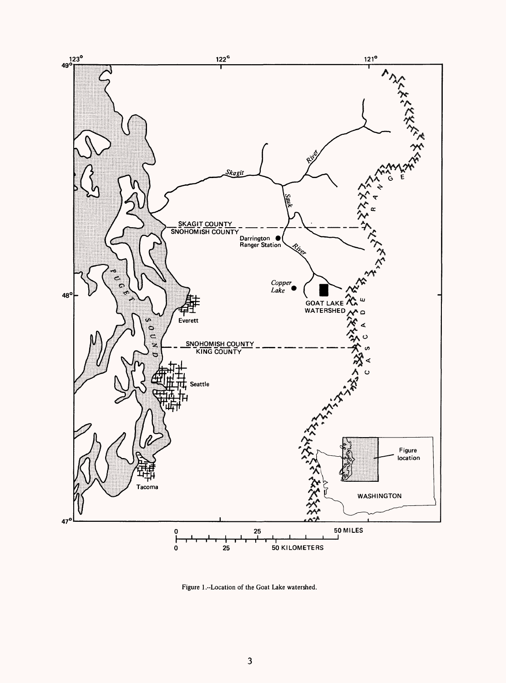

Figure 1 .-Location of the Goat Lake watershed.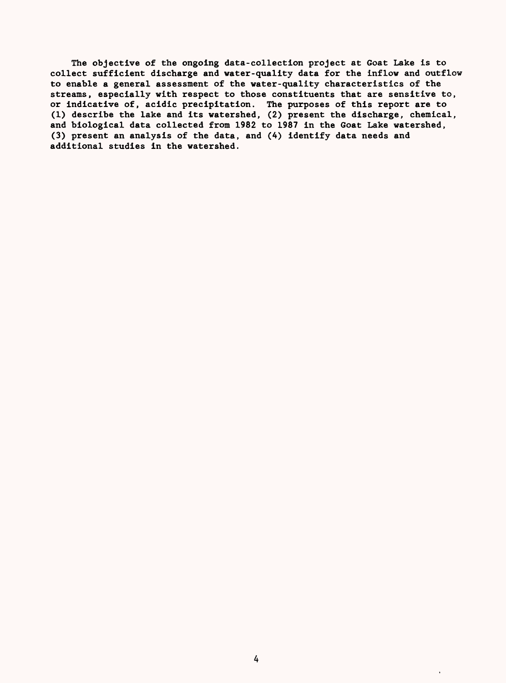The objective of the ongoing data-collection project at Goat Lake is to collect sufficient discharge and water-quality data for the inflow and outflow to enable a general assessment of the water-quality characteristics of the streams, especially with respect to those constituents that are sensitive to, or indicative of, acidic precipitation. The purposes of this report are to (1) describe the lake and its watershed, (2) present the discharge, chemical, and biological data collected from 1982 to 1987 in the Goat Lake watershed, (3) present an analysis of the data, and (4) identify data needs and additional studies in the watershed.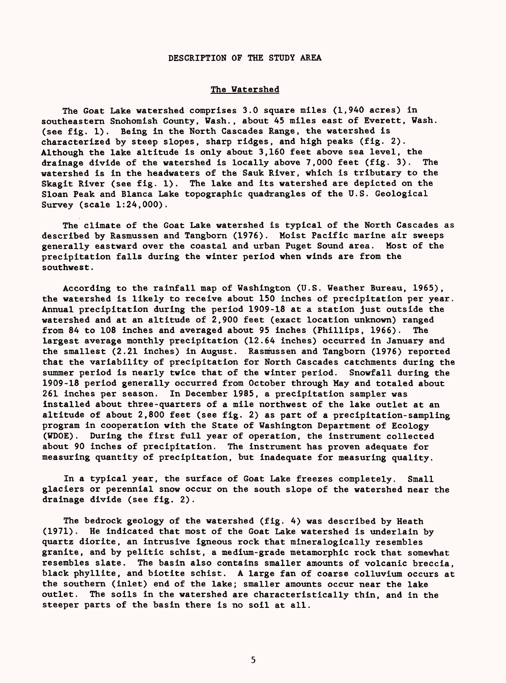#### DESCRIPTION OF THE STUDY AREA

#### The Watershed

The Goat Lake watershed comprises 3.0 square miles (1,940 acres) in southeastern Snohomish County, Wash., about 45 miles east of Everett, Wash, (see fig. 1). Being in the North Cascades Range, the watershed is characterized by steep slopes, sharp ridges, and high peaks (fig. 2). Although the lake altitude is only about 3,160 feet above sea level, the drainage divide of the watershed is locally above 7,000 feet (fig. 3). The watershed is in the headwaters of the Sauk River, which is tributary to the Skagit River (see fig. 1). The lake and its watershed are depicted on the Sloan Peak and Blanca Lake topographic quadrangles of the U.S. Geological Survey (scale 1:24,000).

The climate of the Goat Lake watershed is typical of the North Cascades as described by Rasmussen and Tangborn (1976). Moist Pacific marine air sweeps generally eastward over the coastal and urban Puget Sound area. Most of the precipitation falls during the winter period when winds are from the southwest.

According to the rainfall map of Washington (U.S. Weather Bureau, 1965), the watershed is likely to receive about 150 inches of precipitation per year. Annual precipitation during the period 1909-18 at a station just outside the watershed and at an altitude of 2,900 feet (exact location unknown) ranged from 84 to 108 inches and averaged about 95 inches (Phillips, 1966). The largest average monthly precipitation (12.64 inches) occurred in January and the smallest (2.21 inches) in August. Rasmussen and Tangborn (1976) reported that the variability of precipitation for North Cascades catchments during the summer period is nearly twice that of the winter period. Snowfall during the 1909-18 period generally occurred from October through May and totaled about 261 inches per season. In December 1985, a precipitation sampler was installed about three-quarters of a mile northwest of the lake outlet at an altitude of about 2,800 feet (see fig. 2) as part of a precipitation-sampling program in cooperation with the State of Washington Department of Ecology (WDOE). During the first full year of operation, the instrument collected about 90 inches of precipitation. The instrument has proven adequate for measuring quantity of precipitation, but inadequate for measuring quality.

In a typical year, the surface of Goat Lake freezes completely. Small glaciers or perennial snow occur on the south slope of the watershed near the drainage divide (see fig. 2).

The bedrock geology of the watershed (fig. 4) was described by Heath (1971). He indicated that most of the Goat Lake watershed is underlain by quartz diorite, an intrusive igneous rock that mineralogically resembles granite, and by pelitic schist, a medium-grade metamorphic rock that somewhat resembles slate. The basin also contains smaller amounts of volcanic breccia, black phyllite, and biotite schist. A large fan of coarse colluvium occurs at the southern (inlet) end of the lake; smaller amounts occur near the lake outlet. The soils in the watershed are characteristically thin, and in the steeper parts of the basin there is no soil at all.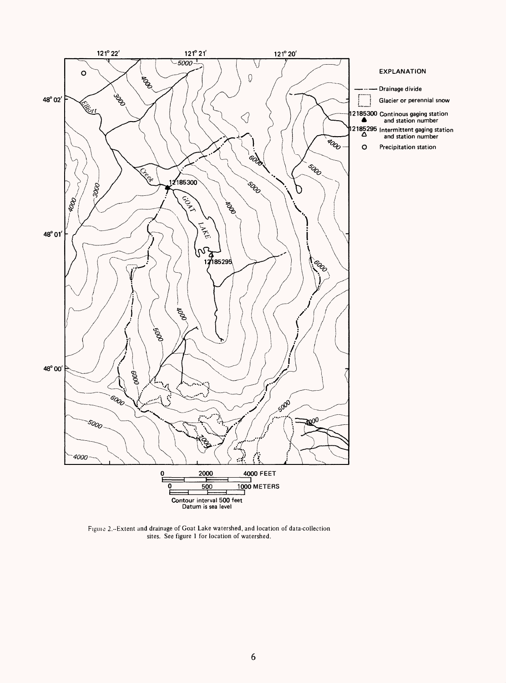

Figure 2.--Extent and drainage of Goat Lake watershed, and location of data-collection sites. See figure 1 for location of watershed.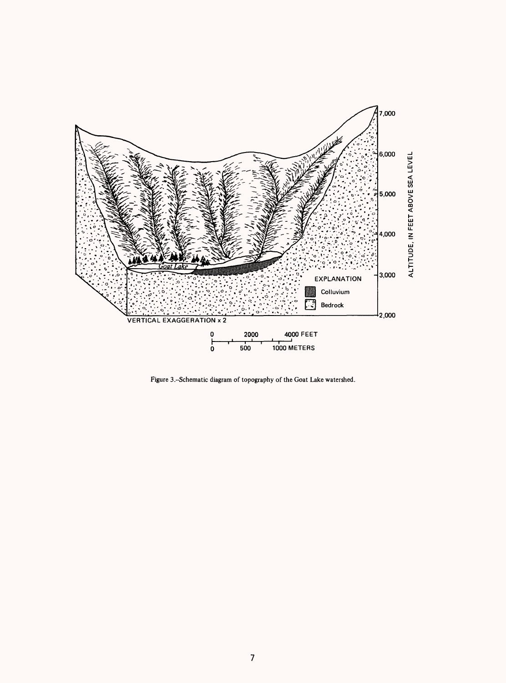

Figure 3.-Schematic diagram of topography of the Goat Lake watershed.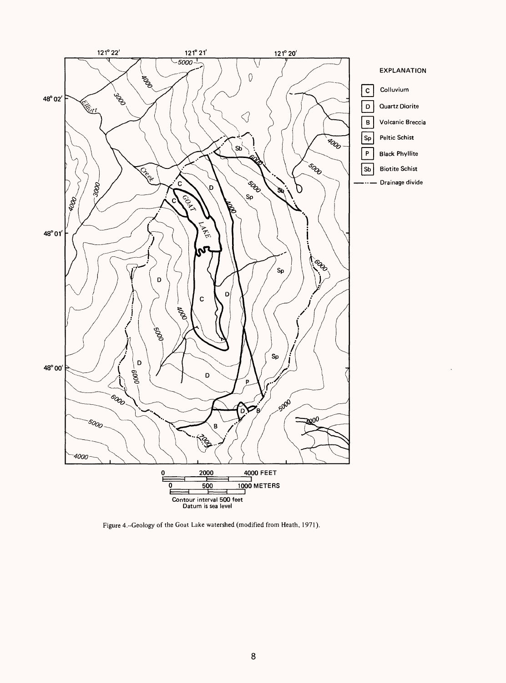

Figure 4.-Geology of the Goat Lake watershed (modified from Heath, 1971).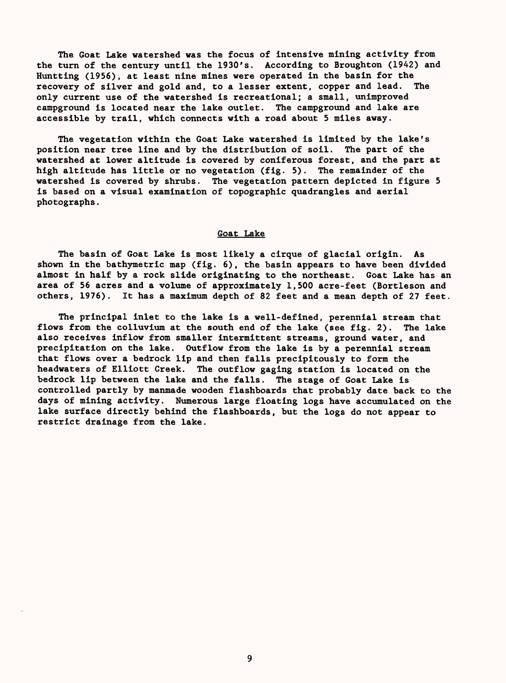The Goat Lake watershed was the focus of intensive mining activity from the turn of the century until the 1930's. According to Broughton (1942) and Huntting (1956), at least nine mines were operated in the basin for the recovery of silver and gold and, to a lesser extent, copper and lead. The only current use of the watershed is recreational; a small, unimproved campground is located near the lake outlet. The campground and lake are accessible by trail, which connects with a road about 5 miles away.

The vegetation within the Goat Lake watershed is limited by the lake's position near tree line and by the distribution of soil. The part of the watershed at lower altitude is covered by coniferous forest, and the part at high altitude has little or no vegetation (fig. 5). The remainder of the watershed is covered by shrubs. The vegetation pattern depicted in figure 5 is based on a visual examination of topographic quadrangles and aerial photographs.

#### Goat Lake

The basin of Goat Lake is most likely a cirque of glacial origin. As shown in the bathymetrie map (fig. 6), the basin appears to have been divided almost in half by a rock slide originating to the northeast. Goat Lake has an area of 56 acres and a volume of approximately 1,500 acre-feet (Bortleson and others, 1976). It has a maximum depth of 82 feet and a mean depth of 27 feet.

The principal inlet to the lake is a well-defined, perennial stream that flows from the colluvium at the south end of the lake (see fig. 2). The lake also receives inflow from smaller intermittent streams, ground water, and precipitation on the lake. Outflow from the lake is by a perennial stream that flows over a bedrock lip and then falls precipitously to form the headwaters of Elliott Creek. The outflow gaging station is located on the bedrock lip between the lake and the falls. The stage of Goat Lake is controlled partly by manmade wooden flashboards that probably date back to the days of mining activity. Numerous large floating logs have accumulated on the lake surface directly behind the flashboards, but the logs do not appear to restrict drainage from the lake.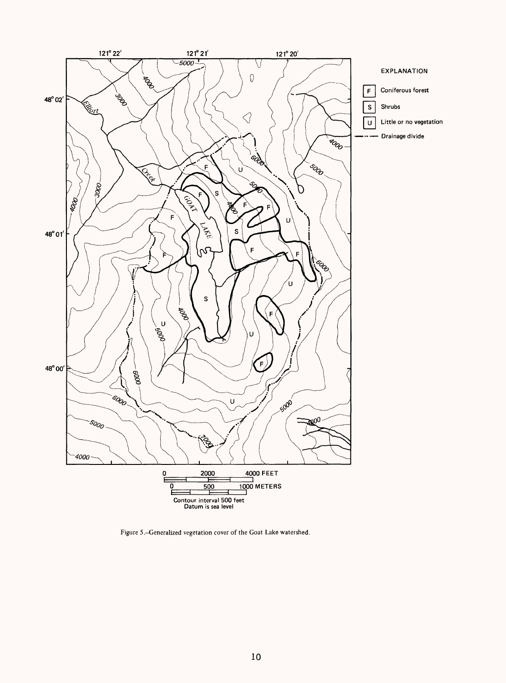

Figure 5,-Generalized vegetation cover of the Goat Lake watershed.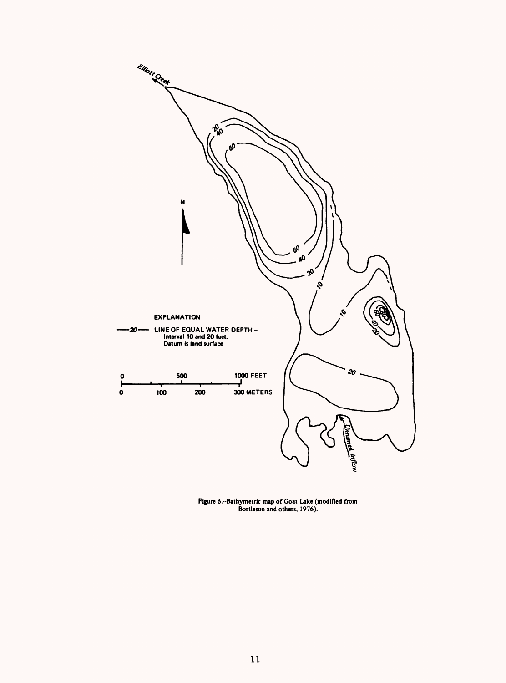

**Figure 6.-Bathymetric map of Goat Lake (modified from Bortleson and others, 1976).**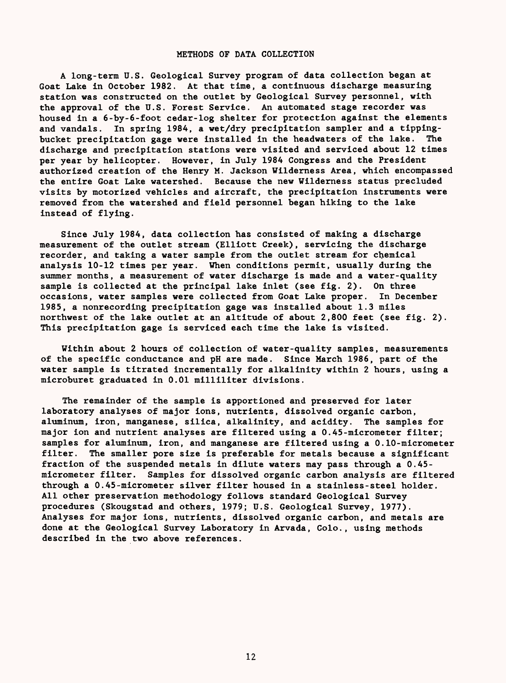#### METHODS OF DATA COLLECTION

A long-term U.S. Geological Survey program of data collection began at Goat Lake in October 1982. At that time, a continuous discharge measuring station was constructed on the outlet by Geological Survey personnel, with the approval of the U.S. Forest Service. An automated stage recorder was housed in a 6-by-6-foot cedar-log shelter for protection against the elements and vandals. In spring 1984, a wet/dry precipitation sampler and a tippingbucket precipitation gage were installed in the headwaters of the lake. The discharge and precipitation stations were visited and serviced about 12 times per year by helicopter. However, in July 1984 Congress and the President authorized creation of the Henry M. Jackson Wilderness Area, which encompassed the entire Goat Lake watershed. Because the new Wilderness status precluded visits by motorized vehicles and aircraft, the precipitation instruments were removed from the watershed and field personnel began hiking to the lake instead of flying.

Since July 1984, data collection has consisted of making a discharge measurement of the outlet stream (Elliott Creek), servicing the discharge recorder, and taking a water sample from the outlet stream for chemical analysis 10-12 times per year. When conditions permit, usually during the summer months, a measurement of water discharge is made and a water-quality sample is collected at the principal lake inlet (see fig. 2). On three occasions, water samples were collected from Goat Lake proper. In December 1985, a nonrecording precipitation gage was installed about 1.3 miles northwest of the lake outlet at an altitude of about 2,800 feet (see fig. 2). This precipitation gage is serviced each time the lake is visited.

Within about 2 hours of collection of water-quality samples, measurements of the specific conductance and pH are made. Since March 1986, part of the water sample is titrated incrementally for alkalinity within 2 hours, using a microburet graduated in 0.01 milliliter divisions.

The remainder of the sample is apportioned and preserved for later laboratory analyses of major ions, nutrients, dissolved organic carbon, aluminum, iron, manganese, silica, alkalinity, and acidity. The samples for major ion and nutrient analyses are filtered using a 0.45-micrometer filter; samples for aluminum, iron, and manganese are filtered using a 0.10-micrometer filter. The smaller pore size is preferable for metals because a significant fraction of the suspended metals in dilute waters may pass through a 0.45 micrometer filter. Samples for dissolved organic carbon analysis are filtered through a 0.45-micrometer silver filter housed in a stainless-steel holder. All other preservation methodology follows standard Geological Survey procedures (Skougstad and others, 1979; U.S. Geological Survey, 1977). Analyses for major ions, nutrients, dissolved organic carbon, and metals are done at the Geological Survey Laboratory in Arvada, Colo., using methods described in the two above references.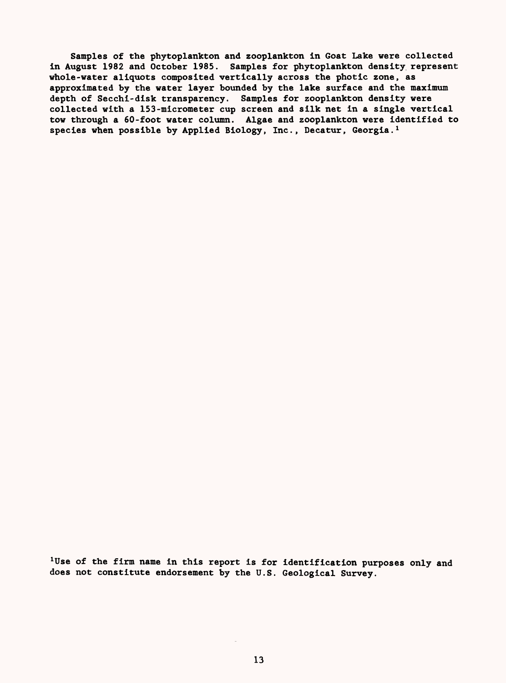Samples of the phytoplankton and zooplankton in Goat Lake were collected in August 1982 and October 1985. Samples for phytoplankton density represent whole-water aliquots composited vertically across the photic zone, as approximated by the water layer bounded by the lake surface and the maximum depth of Secchi-disk transparency. Samples for zooplankton density were collected with a 153-micrometer cup screen and silk net in a single vertical tow through a 60-foot water column. Algae and zooplankton were identified to species when possible by Applied Biology, Inc., Decatur, Georgia.<sup>1</sup>

<sup>1</sup>Use of the firm name in this report is for identification purposes only and does not constitute endorsement by the U.S. Geological Survey.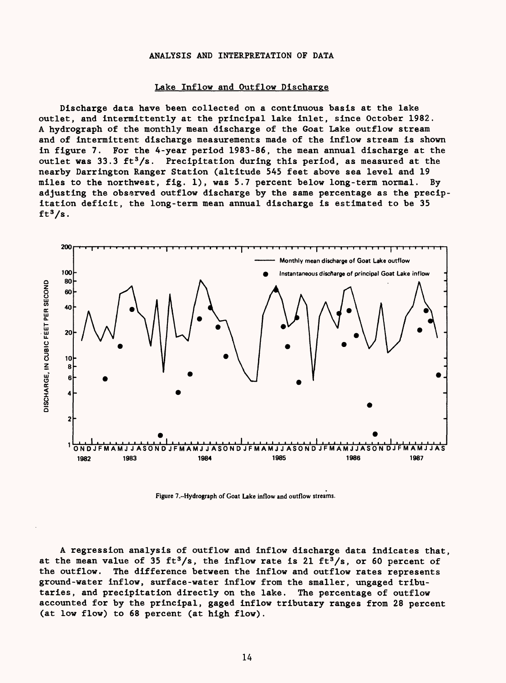#### ANALYSIS AND INTERPRETATION OF DATA

#### Lake Inflow and Outflow Discharge

Discharge data have been collected on a continuous basis at the lake outlet, and intermittently at the principal lake inlet, since October 1982. A hydrograph of the monthly mean discharge of the Goat Lake outflow stream and of intermittent discharge measurements made of the inflow stream is shown in figure 7. For the 4-year period 1983-86, the mean annual discharge at the outlet was 33.3 ft<sup>3</sup>/s. Precipitation during this period, as measured at the nearby Darrington Ranger Station (altitude 545 feet above sea level and 19 miles to the northwest, fig. 1), was 5.7 percent below long-term normal. By adjusting the observed outflow discharge by the same percentage as the precipitation deficit, the long-term mean annual discharge is estimated to be 35  $ft<sup>3</sup>/s.$ 



Figure 7.»Hydrograph of Goat Lake inflow and outflow streams.

A regression analysis of outflow and inflow discharge data indicates that, at the mean value of 35 ft<sup>3</sup>/s, the inflow rate is 21 ft<sup>3</sup>/s, or 60 percent of the outflow. The difference between the inflow and outflow rates represents ground-water inflow, surface-water inflow from the smaller, ungaged tributaries, and precipitation directly on the lake. The percentage of outflow accounted for by the principal, gaged inflow tributary ranges from 28 percent (at low flow) to 68 percent (at high flow).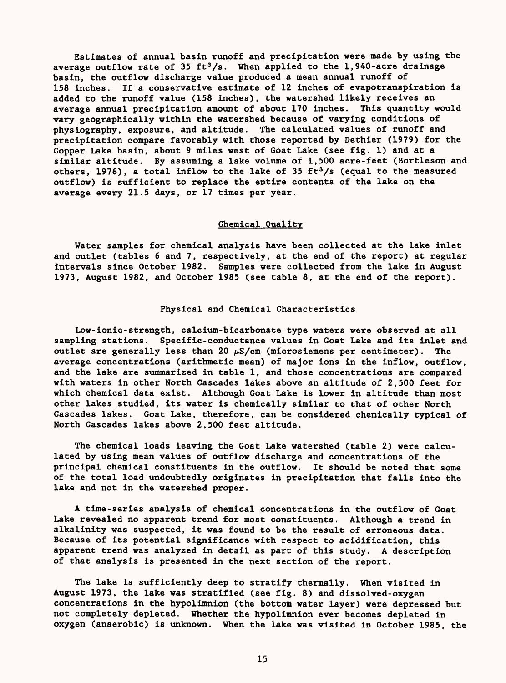Estimates of annual basin runoff and precipitation were made by using the average outflow rate of 35 ft<sup>3</sup>/s. When applied to the 1,940-acre drainage basin, the outflow discharge value produced a mean annual runoff of 158 inches. If a conservative estimate of 12 inches of evapotranspiration is added to the runoff value (158 inches), the watershed likely receives an average annual precipitation amount of about 170 inches. This quantity would vary geographically within the watershed because of varying conditions of physiography, exposure, and altitude. The calculated values of runoff and precipitation compare favorably with those reported by Dethier (1979) for the Copper Lake basin, about 9 miles west of Goat Lake (see fig. 1) and at a similar altitude. By assuming a lake volume of 1,500 acre-feet (Bortleson and others, 1976), a total inflow to the lake of 35  $ft<sup>3</sup>/s$  (equal to the measured outflow) is sufficient to replace the entire contents of the lake on the average every 21.5 days, or 17 times per year.

## Chemical Quality

Water samples for chemical analysis have been collected at the lake inlet and outlet (tables 6 and 7, respectively, at the end of the report) at regular intervals since October 1982. Samples were collected from the lake in August 1973, August 1982, and October 1985 (see table 8, at the end of the report).

#### Physical and Chemical Characteristics

Low-ionic-strength, calcium-bicarbonate type waters were observed at all sampling stations. Specific-conductance values in Goat Lake and its inlet and outlet are generally less than 20  $\mu$ S/cm (microsiemens per centimeter). The average concentrations (arithmetic mean) of major ions in the inflow, outflow, and the lake are summarized in table 1, and those concentrations are compared with waters in other North Cascades lakes above an altitude of 2,500 feet for which chemical data exist. Although Goat Lake is lower in altitude than most other lakes studied, its water is chemically similar to that of other North Cascades lakes. Goat Lake, therefore, can be considered chemically typical of North Cascades lakes above 2,500 feet altitude.

The chemical loads leaving the Goat Lake watershed (table 2) were calculated by using mean values of outflow discharge and concentrations of the principal chemical constituents in the outflow. It should be noted that some of the total load undoubtedly originates in precipitation that falls into the lake and not in the watershed proper.

A time-series analysis of chemical concentrations in the outflow of Goat Lake revealed no apparent trend for most constituents. Although a trend in alkalinity was suspected, it was found to be the result of erroneous data. Because of its potential significance with respect to acidification, this apparent trend was analyzed in detail as part of this study. A description of that analysis is presented in the next section of the report.

The lake is sufficiently deep to stratify thermally. When visited in August 1973, the lake was stratified (see fig. 8) and dissolved-oxygen concentrations in the hypolimnion (the bottom water layer) were depressed but not completely depleted. Whether the hypolimnion ever becomes depleted in oxygen (anaerobic) is unknown. When the lake was visited in October 1985, the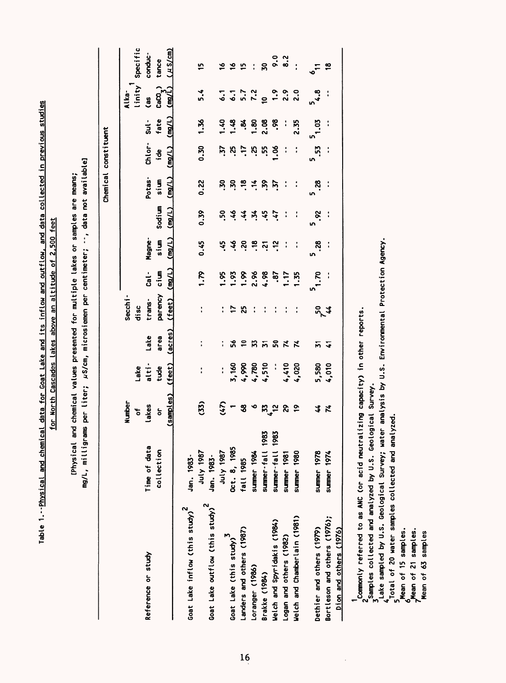|                                             |                  |                  |                      |                          |                      |                |               |               |               | Chemical constituent |                            |                    |                                |
|---------------------------------------------|------------------|------------------|----------------------|--------------------------|----------------------|----------------|---------------|---------------|---------------|----------------------|----------------------------|--------------------|--------------------------------|
|                                             |                  | <b>Number</b>    |                      |                          | Secchi               |                |               |               |               |                      |                            | Alka-              |                                |
| Reference or study                          | Time of data     | lakes<br>t       | alti-<br>Lake        | Lake                     | trans-<br>disc       | $\frac{1}{3}$  | Magne-        |               | Potas-        | Chlor-               | $\frac{1}{5}$              | linity<br>Cas      | Specific<br>conduc-            |
|                                             | collection       | ៍                | tude                 | area                     | parency              | cium           | sium          | Sodium        | sium          | jde                  | fate                       | $\text{CaCO}_\chi$ | tance                          |
|                                             |                  | (samples)        | (feet)               | (acres)                  | (feet)               | (mg/L)         | (mg/L)        | (mg/L)        | (mg/L)        | (mq/L)               | $\overline{\text{[mg/L]}}$ | (mq/L)             | $($ $\mu$ S/cm)                |
| Goat Lake inflow (this study) <sup>2</sup>  | Jan. 1983-       |                  |                      |                          |                      |                |               |               |               |                      |                            |                    |                                |
|                                             | 1987 YJuL        | (33)             |                      |                          |                      | 1.79           | 0.45          | 0.39          | 0.22          | 0.30                 | 1.36                       | 5.4                | 15                             |
| Goat Lake outflow (this study) <sup>2</sup> | Jan. 1983-       |                  |                      |                          |                      |                |               |               |               |                      |                            |                    |                                |
|                                             | 1uly 1987        | (47)             | $\ddot{\phantom{a}}$ | t                        | $\ddot{\phantom{a}}$ | $\frac{56}{1}$ | 45            | ភ្            | ភ្            | $\ddot{S}$           | $-40$                      | $\ddot{\cdot}$     |                                |
| Goat Lake (this study)                      | Oct. 8, 1985     |                  | 3,160                | 56                       | 17                   | .93            | $\frac{3}{2}$ | $\frac{3}{2}$ | $\ddot{5}$    | κj                   | $-48$                      | $\ddot{\circ}$     | おおお                            |
| Landers and others (1987)                   | fall 1985        | $\boldsymbol{3}$ | 4,990                | $\overline{a}$           | ង                    | $\frac{8}{1}$  | នុ            | $\ddot{•}$    | $\ddot{a}$    | $\ddot{.}$           | ಕ್ಕೆ                       |                    |                                |
| Loranger (1986)                             | summer 1984      | $\bullet$        | 4,780                | 33                       | $\ddot{\cdot}$       | 2.96           | $\ddot{ }$    | $\ddot{x}$    | $\ddot{ }$ :  | κj.                  | នី                         | $\frac{2}{7}$ .2   |                                |
| Brakke (1984)                               | summer-fall 1983 |                  | 4,510                | $\overline{M}$           | $\ddot{\cdot}$       | 4.98           | $\ddot{5}$    | 45            | $\frac{5}{2}$ | <b>S</b>             | <b>80.2</b>                | $\tilde{a}$        | $\overline{50}$                |
| Welch and Spyridakis (1984)                 | summer-fall 1983 | $x^2$            | $\ddot{\cdot}$       | <b>SQ</b>                | $\ddot{\cdot}$       | $\ddot{3}$     | ុ             | $\ddot{t}$    | $\ddot{S}$    | აი<br>-              | 86.                        | $\ddot{ }$ :       | $\frac{1}{2}$<br>$\frac{1}{2}$ |
| Logan and others (1982)                     | summer 1981      | S.               | 4,410                | $\boldsymbol{\tilde{z}}$ |                      | 1.17           | ÷             |               | ÷             |                      |                            | 2.9                |                                |
| Welch and Chamberlain (1981)                | summer 1980      | <b>o</b>         | 4,020                | N,                       |                      | 1.35           |               |               |               |                      | 2.35                       | 2.0                | $\ddot{\cdot}$                 |
| Dethier and others (1979)                   | summer 1978      | 44               | 5,580                | 丽                        |                      | 7.70           | 38.           | 5.92          | 38.           | 5.53                 | $^{20.1}$                  | 5<br>4.8           | ᇰ                              |
| Bortleson and others (1976);                | summer 1974      | $\tilde{\bm{r}}$ | 4,010                | 4                        | $5^{24}$             |                | $\mathbf{I}$  | ÷             |               |                      |                            |                    | $\frac{8}{16}$                 |
| Dion and others (1976)                      |                  |                  |                      |                          |                      |                |               |               |               |                      |                            |                    |                                |
|                                             |                  |                  |                      |                          |                      |                |               |               |               |                      |                            |                    |                                |

lable 1.--Physic<u>al and chemical data for Goat Lake and its inflow and outflow, and data collected in previous studies</u>

Table 1. - Physical and chemical data for Goat Lake and its inflow and outflow, and data collected in previous studies for North Cascades lakes above an altitude of 2,500 feet

lakes above an altitude of 2,500 feet

for North Cascades

 $\frac{1}{2}$ Commonly referred to as ANC (or acid neutralizing capacity) in other reports.<br>3. Samples collected and analyzed by U.S. Geological Survey. Commonly referred to as ANC (or acid neutralizing capacity) in other reports.

Samples collected and analyzed by U.S. Geological Survey.

Lake sampled by U.S. Geological Survey; water analysis by U.S. Environmental Protection Agency. Lake sampled by U.S. Geological Survey; water analysis by U.S. Environmental Protection Agency.

frotal of 20 water samples collected and analyzed.<br>Amean of 15 samples.<br>Amean of 21 samples.<br>Mean of 63 samples Total of 20 water samples collected and analyzed.

Mean of 15 samples.

Mean of 21 samples.

Mean of **63** samples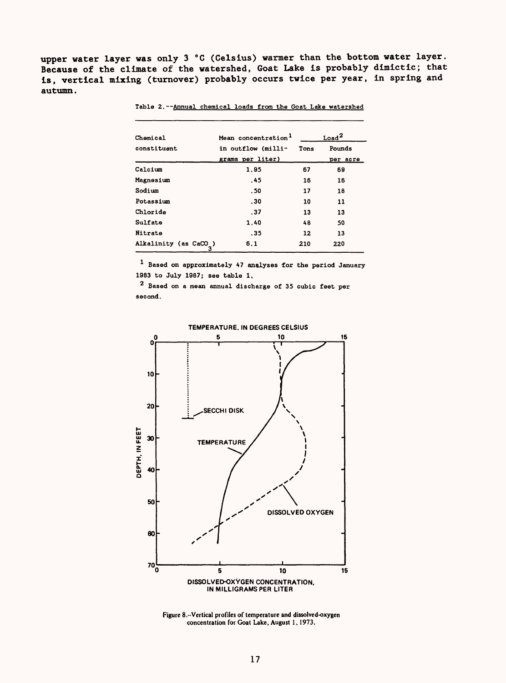upper water layer was only 3 °C (Celsius) warmer than the bottom water layer. Because of the climate of the watershed, Goat Lake is probably dimictic; that is, vertical mixing (turnover) probably occurs twice per year, in spring and autumn.

| Chemical                   | Mean concentration <sup>1</sup> |      | $_{\text{Load}}{}^2$ |
|----------------------------|---------------------------------|------|----------------------|
| constituent                | in outflow (milli-              | Tons | Pounds               |
|                            | grams per liter)                |      | per acre             |
| Calcium                    | 1.95                            | 67   | 69                   |
| Magnesium                  | .45                             | 16   | 16                   |
| Sodium                     | . 50                            | 17   | 18                   |
| Potassium                  | .30                             | 10   | 11                   |
| Chloride                   | .37                             | 13   | 13                   |
| Sulfate                    | 1.40                            | 48   | 50                   |
| Nitrate                    | . 35                            | 12   | 13                   |
| Alkalinity (as CaCO )<br>3 | 6.1                             | 210  | 220                  |

Table 2. --Annual chemical loads from the Goat Lake watershed

Based on approximately 47 analyses for the period January 1983 to July 1987; see table 1.

 $^{\text{2}}$  Based on a mean annual discharge of 35 cubic feet per second.



Figure 8.-Vertical profiles of temperature and dissolved-oxygen concentration for Goat Lake, August 1,1973.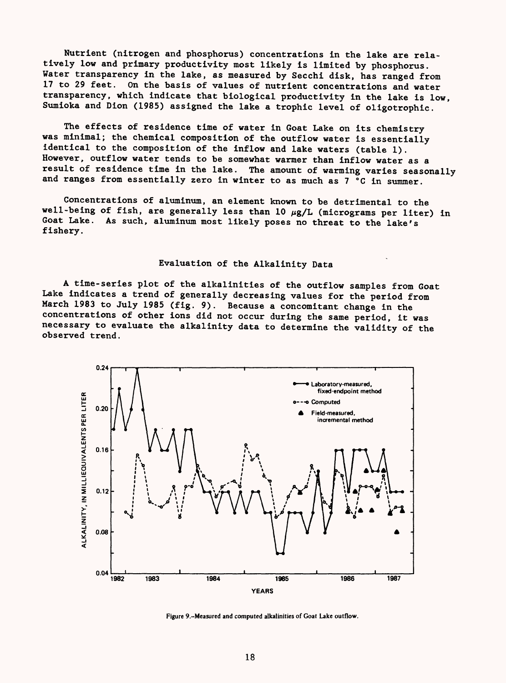Nutrient (nitrogen and phosphorus) concentrations in the lake are relatively low and primary productivity most likely is limited by phosphorus. Water transparency in the lake, as measured by Secchi disk, has ranged from 17 to 29 feet. On the basis of values of nutrient concentrations and water transparency, which indicate that biological productivity in the lake is low, Sumioka and Dion (1985) assigned the lake a trophic level of oligotrophic.

The effects of residence time of water in Goat Lake on its chemistry was minimal; the chemical composition of the outflow water is essentially identical to the composition of the inflow and lake waters (table 1). However, outflow water tends to be somewhat warmer than inflow water as a<br>result of residence time in the lake. The amount of warming varies seaso The amount of warming varies seasonally and ranges from essentially zero in winter to as much as 7 °C in summer.

Concentrations of aluminum, an element known to be detrimental to the well-being of fish, are generally less than 10  $\mu$ g/L (micrograms per liter) in Goat Lake. As such, aluminum most likely poses no threat to the lake's fishery.

## Evaluation of the Alkalinity Data

A time-series plot of the alkalinities of the outflow samples from Goat Lake indicates a trend of generally decreasing values for the period from March 1983 to July 1985 (fig. 9). Because a concomitant change in the concentrations of other ions did not occur during the same period, it was necessary to evaluate the alkalinity data to determine the validity of the observed trend.



**Figure 9.--Measured and computed alkalinities of Goat Lake outflow.**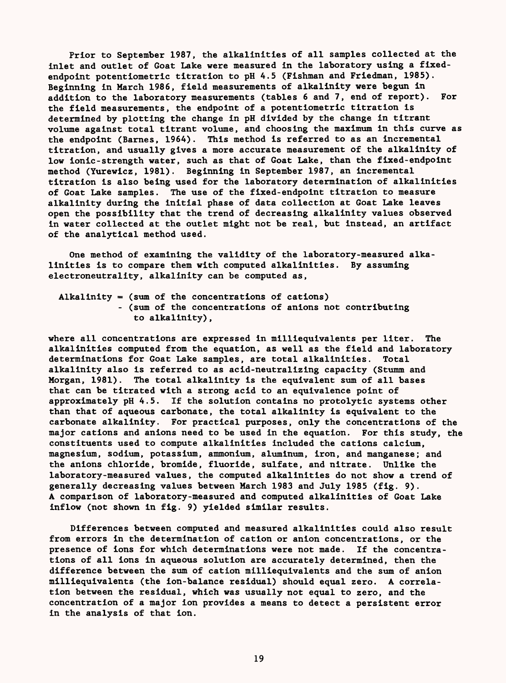Prior to September 1987, the alkalinities of all samples collected at the inlet and outlet of Goat Lake were measured in the laboratory using a fixedendpoint potentiometrie titration to pH 4.5 (Fishman and Friedman, 1985). Beginning in March 1986, field measurements of alkalinity were begun in addition to the laboratory measurements (tables 6 and 7, end of report). For the field measurements, the endpoint of a potentiometric titration is determined by plotting the change in pH divided by the change in titrant volume against total titrant volume, and choosing the maximum in this curve as the endpoint (Barnes, 1964). This method is referred to as an incremental titration, and usually gives a more accurate measurement of the alkalinity of low ionic-strength water, such as that of Goat Lake, than the fixed-endpoint method (Yurewicz, 1981). Beginning in September 1987, an incremental titration is also being used for the laboratory determination of alkalinities of Goat Lake samples. The use of the fixed-endpoint titration to measure alkalinity during the initial phase of data collection at Goat Lake leaves open the possibility that the trend of decreasing alkalinity values observed in water collected at the outlet might not be real, but instead, an artifact of the analytical method used.

One method of examining the validity of the laboratory-measured alkalinities is to compare them with computed alkalinities. By assuming electroneutrality, alkalinity can be computed as,

Alkalinity = (sum of the concentrations of cations) - (sum of the concentrations of anions not contributing to alkalinity),

where all concentrations are expressed in milliequivalents per liter. The alkalinities computed from the equation, as well as the field and laboratory determinations for Goat Lake samples, are total alkalinities. Total alkalinity also is referred to as acid-neutralizing capacity (Stumm and Morgan, 1981). The total alkalinity is the equivalent sum of all bases that can be titrated with a strong acid to an equivalence point of approximately pH 4.5. If the solution contains no protolytic systems other than that of aqueous carbonate, the total alkalinity is equivalent to the carbonate alkalinity. For practical purposes, only the concentrations of the major cations and anions need to be used in the equation. For this study, the constituents used to compute alkalinities included the cations calcium, magnesium, sodium, potassium, ammonium, aluminum, iron, and manganese; and the anions chloride, bromide, fluoride, sulfate, and nitrate. Unlike the laboratory-measured values, the computed alkalinities do not show a trend of generally decreasing values between March 1983 and July 1985 (fig. 9). A comparison of laboratory-measured and computed alkalinities of Goat Lake inflow (not shown in fig. 9) yielded similar results.

Differences between computed and measured alkalinities could also result from errors in the determination of cation or anion concentrations, or the presence of ions for which determinations were not made. If the concentrations of all ions in aqueous solution are accurately determined, then the difference between the sum of cation milliequivalents and the sum of anion milliequivalents (the ion-balance residual) should equal zero. A correlation between the residual, which was usually not equal to zero, and the concentration of a major ion provides a means to detect a persistent error in the analysis of that ion.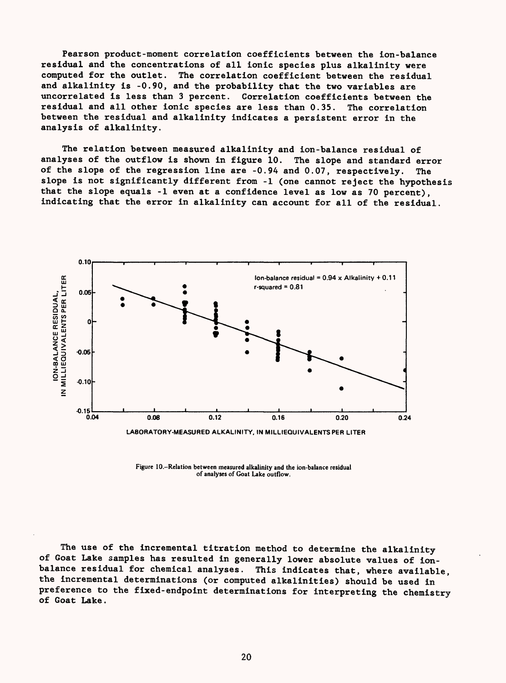Fearson product-moment correlation coefficients between the ion-balance residual and the concentrations of all ionic species plus alkalinity were computed for the outlet. The correlation coefficient between the residual and alkalinity is -0.90, and the probability that the two variables are uncorrelated is less than 3 percent. Correlation coefficients between the residual and all other ionic species are less than 0.35. The correlation between the residual and alkalinity indicates a persistent error in the analysis of alkalinity.

The relation between measured alkalinity and ion-balance residual of analyses of the outflow is shown in figure 10. The slope and standard error of the slope of the regression line are -0.94 and 0.07, respectively. The slope is not significantly different from -1 (one cannot reject the hypothesis that the slope equals -1 even at a confidence level as low as 70 percent), indicating that the error in alkalinity can account for all of the residual.



Figure 10.--Relation between measured alkalinity and the ion-balance residual

of analyses of Goat Lake outflow.

The use of the incremental titration method to determine the alkalinity of Goat Lake samples has resulted in generally lower absolute values of ionbalance residual for chemical analyses. This indicates that, where available, the incremental determinations (or computed alkalinities) should be used in preference to the fixed-endpoint determinations for interpreting the chemistry of Goat Lake.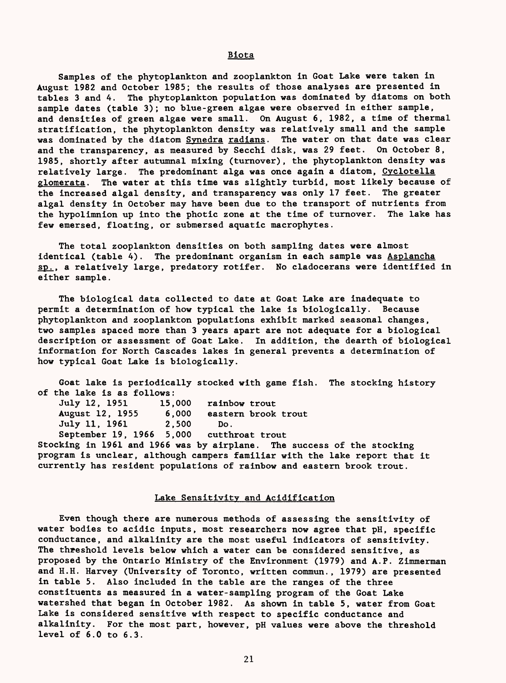Samples of the phytoplankton and zooplankton in Goat Lake were taken in August 1982 and October 1985; the results of those analyses are presented in tables 3 and 4. The phytoplankton population was dominated by diatoms on both sample dates (table 3); no blue-green algae were observed in either sample, and densities of green algae were small. On August 6, 1982, a time of thermal stratification, the phytoplankton density was relatively small and the sample was dominated by the diatom Synedra radians. The water on that date was clear and the transparency, as measured by Secchi disk, was 29 feet. On October 8, 1985, shortly after autumnal mixing (turnover), the phytoplankton density was relatively large. The predominant alga was once again a diatom, Cyclotella glomerata. The water at this time was slightly turbid, most likely because of the increased algal density, and transparency was only 17 feet. The greater algal density in October may have been due to the transport of nutrients from the hypolimnion up into the photic zone at the time of turnover. The lake has few emersed, floating, or submersed aquatic macrophytes.

The total zooplankton densities on both sampling dates were almost identical (table 4). The predominant organism in each sample was Asplancha sp.. a relatively large, predatory rotifer. No cladocerans were identified in either sample.

The biological data collected to date at Goat Lake are inadequate to permit a determination of how typical the lake is biologically. Because phytoplankton and zooplankton populations exhibit marked seasonal changes, two samples spaced more than 3 years apart are not adequate for a biological description or assessment of Goat Lake. In addition, the dearth of biological information for North Cascades lakes in general prevents a determination of how typical Goat Lake is biologically.

Goat lake is periodically stocked with game fish. The stocking history of the lake is as follows: July 12, 1951 15,000 rainbow trout August 12, 1955 6,000 eastern brook trout July 11, 1961 2,500 Do. September 19, 1966 5,000 cutthroat trout Stocking in 1961 and 1966 was by airplane. The success of the stocking program is unclear, although campers familiar with the lake report that it currently has resident populations of rainbow and eastern brook trout.

#### Lake Sensitivity and Acidification

Even though there are numerous methods of assessing the sensitivity of water bodies to acidic inputs, most researchers now agree that pH, specific conductance, and alkalinity are the most useful indicators of sensitivity. The threshold levels below which a water can be considered sensitive, as proposed by the Ontario Ministry of the Environment (1979) and A.P. Zimmerman and H.H. Harvey (University of Toronto, written commun., 1979) are presented in table 5. Also included in the table are the ranges of the three constituents as measured in a water-sampling program of the Goat Lake watershed that began in October 1982. As shown in table 5, water from Goat Lake is considered sensitive with respect to specific conductance and alkalinity. For the most part, however, pH values were above the threshold level of 6.0 to 6.3.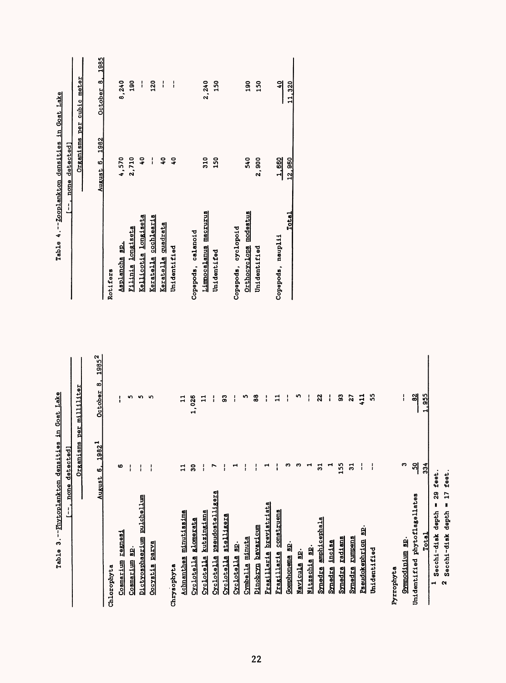| --Fhytoplankton densities in Goat Lake<br>m<br>Table  | detected]               |                          |
|-------------------------------------------------------|-------------------------|--------------------------|
| aga                                                   | Organisms               | per milliliter           |
| August                                                | $1982^{1}$<br>$\bullet$ | $1985^2$<br>œ<br>October |
| Chlorophyta                                           |                         |                          |
| regnesi<br>Cosmarium                                  | G                       |                          |
| å<br>Cosmarium                                        | ļ                       | n                        |
| <u>michelium</u><br>Dictyosphaerium                   | ł                       | S                        |
| parva<br><b>Docystis</b>                              | $\mathbf{1}$            | 5                        |
| Chrysophyta                                           |                         |                          |
| minutissima<br>Achnanthes                             | $\Xi$                   | $\mathbf{1}$             |
| <b>Alomerata</b><br><b>Cyclotella</b>                 | ន                       | 1,026                    |
| kutzingiana<br><b>Syclotella</b>                      | $\mathbf{I}$            | ะ                        |
| pseudostelligera<br><b>Cyclotella</b>                 | r                       | i                        |
| stelligera<br><b>Cyclotella</b>                       |                         | G,                       |
| ချ<br><b>Cyclotella</b>                               | ↤                       | i                        |
| Cymbella minuta                                       |                         | n                        |
| <u>Dinobryn bavaricum</u>                             |                         | 88                       |
| brevistriata<br>Fragillaria                           | ⊣                       | Ť                        |
| construens<br>Fragillaria                             |                         | $\Xi$                    |
| 위<br><b>Gomphonema</b>                                | ຕ                       | ł                        |
| ၌<br>Mayicula                                         | ∞                       | n                        |
| ۴į<br><b>Nitzschia</b>                                | ⊣                       | i                        |
| amphicephala<br>Synedra                               | వ                       | 22                       |
| incisa<br><b>Synedra</b>                              | ⊣                       | I                        |
| radians<br><b>Synedra</b>                             | 155                     | 3                        |
| <b>Europens</b><br>Synedra                            | 51                      | 27                       |
| 9<br>Pseudokephrion                                   | i                       | $\frac{11}{2}$           |
| Unidentified                                          | $\mathbf{I}$            | 33                       |
|                                                       |                         |                          |
| Pyrrophyta                                            |                         |                          |
| Gymnodinium sp.                                       | Ø                       | $\mathbf{I}$             |
| phytoflagellates<br>Unidentified                      | ရှိ                     | $\frac{32}{3}$           |
| Total                                                 | 334                     | 1.955                    |
| 29<br>depth<br>Secchi-disk<br>$\blacksquare$          | feet                    |                          |
| $\overline{1}$<br>N<br>depth<br>Secchi-disk<br>$\sim$ | feet.                   |                          |
|                                                       |                         |                          |

 $[-, \text{none detected}]$ Table 4. Zooplankton densities in Goat Lake Table 4.--Zooplankton densities in Goat Lake I--, none detected]

Organisms per cubic meter \_\_\_\_Organisms per cubic meter

 $\overline{\phantom{a}}$ 

|   | August 6. 1982 <sup>1</sup> | October 8, 1985 <sup>2</sup> |                          | August 6, 1982 | October 8, 1985 |
|---|-----------------------------|------------------------------|--------------------------|----------------|-----------------|
|   |                             |                              | Rotifers                 |                |                 |
|   | ٥                           | i                            | Asplancha sp.            | 4,570          | 8,240           |
|   | i                           |                              | <b>Filinia</b> longiseta | 2,710          | $\frac{8}{11}$  |
| 티 | I                           |                              | Kellicotia longiseta     |                | i               |
|   | i                           |                              | Keratella cochlearis     | i              | 120             |
|   |                             |                              | Keratella quadrata       | $\frac{1}{2}$  | í               |
|   |                             |                              | Unidentified             | ទ្             | I               |
|   |                             |                              |                          |                |                 |
|   | នី                          | 1,026                        | Copepods, calanoid       |                |                 |
|   | i                           |                              | Limnocalanus macrurus    | 310            | 2,240           |
| 텗 |                             | i                            | Unidentifed              | 150            | 150             |
|   |                             | 3                            |                          |                |                 |
|   |                             | i                            | Copepods, cyclopoid      |                |                 |
|   | i                           |                              | Orthocyclops modestus    | 540            | $\frac{6}{2}$   |
|   | :                           | 88                           | Unidentified             | 2,900          | <b>50</b>       |
|   |                             | I                            |                          |                |                 |
|   |                             | 11                           | Copepods, nauplii        | 1,660          | $\frac{1}{2}$   |
|   |                             | i                            | Total                    | 12,960         | 11,320          |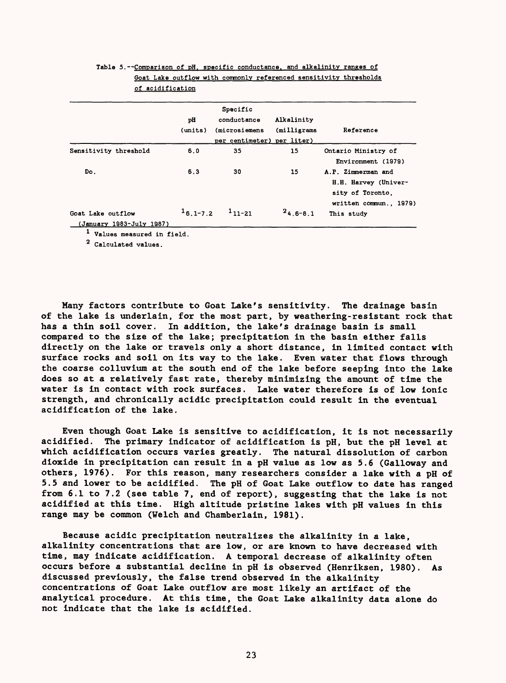|                                               | рH<br>(units) | Specific<br>conductance<br>(microsiemens<br>per centimeter) per liter) | Alkalinity<br>(milligrams | Reference                                                                                |
|-----------------------------------------------|---------------|------------------------------------------------------------------------|---------------------------|------------------------------------------------------------------------------------------|
| Sensitivity threshold                         | 6.0           | 35                                                                     | 15                        | Ontario Ministry of<br>Environment (1979)                                                |
| Do.                                           | 6.3           | 30                                                                     | 15                        | A.P. Zimmerman and<br>H.H. Harvey (Univer-<br>sity of Toronto.<br>written commun., 1979) |
| Goat Lake outflow<br>(January 1983-July 1987) | $16.1 - 7.2$  | $111 - 21$                                                             | $24.6 - 8.1$              | This study                                                                               |

Table 5. --Comparison of pH, specific conductance, and alkalinity ranges of Goat Lake outflow with commonly referenced sensitivity thresholds of acidification

Values measured in field.

Calculated values.

Many factors contribute to Goat Lake's sensitivity. The drainage basin of the lake is underlain, for the most part, by weathering-resistant rock that has a thin soil cover. In addition, the lake's drainage basin is small compared to the size of the lake; precipitation in the basin either falls directly on the lake or travels only a short distance, in limited contact with surface rocks and soil on its way to the lake. Even water that flows through the coarse colluvium at the south end of the lake before seeping into the lake does so at a relatively fast rate, thereby minimizing the amount of time the water is in contact with rock surfaces. Lake water therefore is of low ionic strength, and chronically acidic precipitation could result in the eventual acidification of the lake.

Even though Goat Lake is sensitive to acidification, it is not necessarily acidified. The primary indicator of acidification is pH, but the pH level at which acidification occurs varies greatly. The natural dissolution of carbon dioxide in precipitation can result in & pH value as low as 5.6 (Galloway and others, 1976). For this reason, many researchers consider a lake with a pH of 5.5 and lower to be acidified. The pH of Goat Lake outflow to date has ranged from 6.1 to 7.2 (see table 7, end of report), suggesting that the lake is not acidified at this time. High altitude pristine lakes with pH values in this range may be common (Welch and Chamberlain, 1981).

Because acidic precipitation neutralizes the alkalinity in a lake, alkalinity concentrations that are low, or are known to have decreased with time, may indicate acidification. A temporal decrease of alkalinity often occurs before a substantial decline in pH is observed (Henriksen, 1980). As discussed previously, the false trend observed in the alkalinity concentrations of Goat Lake outflow are most likely an artifact of the analytical procedure. At this time, the Goat Lake alkalinity data alone do not indicate that the lake is acidified.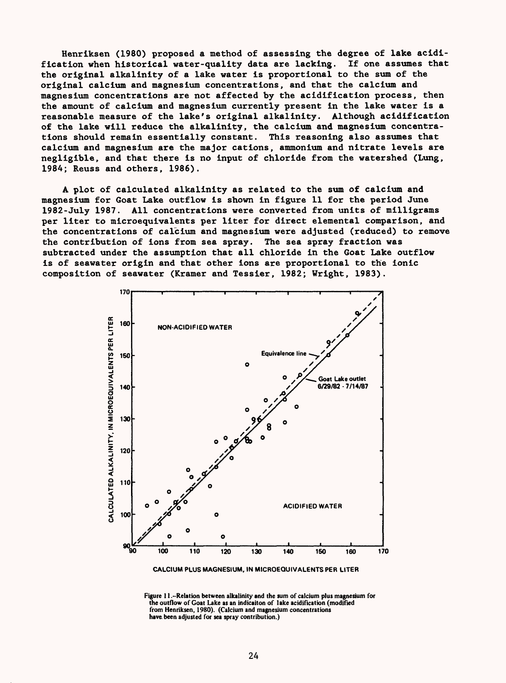Henriksen (1980) proposed a method of assessing the degree of lake acidification when historical water-quality data are lacking. If one assumes that the original alkalinity of a lake water is proportional to the sum of the original calcium and magnesium concentrations, and that the calcium and magnesium concentrations are not affected by the acidification process, then the amount of calcium and magnesium currently present in the lake water is a reasonable measure of the lake's original alkalinity. Although acidification of the lake will reduce the alkalinity, the calcium and magnesium concentrations should remain essentially constant. This reasoning also assumes that calcium and magnesium are the major cations, ammonium and nitrate levels are negligible, and that there is no input of chloride from the watershed (Lung, 1984; Reuss and others, 1986).

A plot of calculated alkalinity as related to the sum of calcium and magnesium for Goat Lake outflow is shown in figure 11 for the period June 1982-July 1987. All concentrations were converted from units of milligrams per liter to microequivalents per liter for direct elemental comparison, and the concentrations of calcium and magnesium were adjusted (reduced) to remove the contribution of ions from sea spray. The sea spray fraction was subtracted under the assumption that all chloride in the Goat Lake outflow is of seawater origin and that other ions are proportional to the ionic composition of seawater (Kramer and Tessier, 1982; Wright, 1983).



**CALCIUM PLUS MAGNESIUM, IN MICROEQUIVALENTS PER LITER**

**Figure 11 .-Relation between alkalinity and the sum of calcium plus magnesium for the outflow of Goat Lake as an indicaiton of lake acidification (modified from Henriksen, 1980). (Calcium and magnesium concentrations have been adjusted for sea spray contribution.)**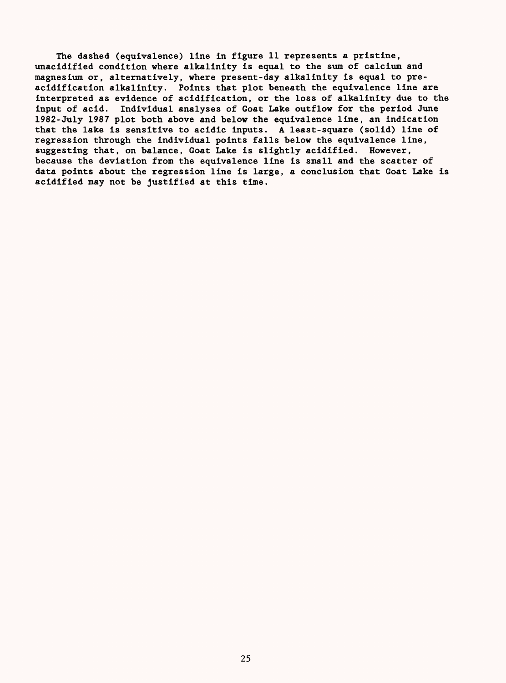The dashed (equivalence) line in figure 11 represents a pristine, unacidified condition where alkalinity is equal to the sum of calcium and magnesium or, alternatively, where present-day alkalinity is equal to preacidification alkalinity. Points that plot beneath the equivalence line are interpreted as evidence of acidification, or the loss of alkalinity due to the input of acid. Individual analyses of Goat Lake outflow for the period June 1982-July 1987 plot both above and below the equivalence line, an indication that the lake is sensitive to acidic inputs. A least-square (solid) line of regression through the individual points falls below the equivalence line, suggesting that, on balance, Goat Lake is slightly acidified. However, because the deviation from the equivalence line is small and the scatter of data points about the regression line is large, a conclusion that Goat Lake is acidified may not be justified at this time.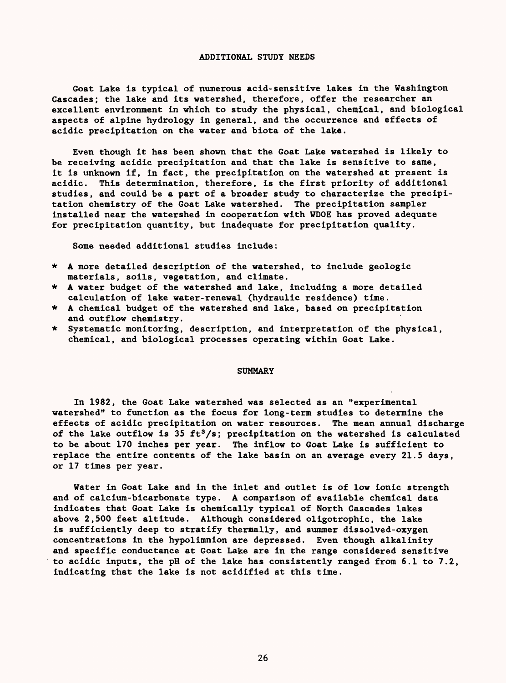#### ADDITIONAL STUDY NEEDS

Goat Lake is typical of numerous acid-sensitive lakes in the Washington Cascades; the lake and its watershed, therefore, offer the researcher an excellent environment in which to study the physical, chemical, and biological aspects of alpine hydrology in general, and the occurrence and effects of acidic precipitation on the water and biota of the lake.

Even though it has been shown that the Goat Lake watershed is likely to be receiving acidic precipitation and that the lake is sensitive to same, it is unknown if, in fact, the precipitation on the watershed at present is acidic. This determination, therefore, is the first priority of additional studies, and could be a part of a broader study to characterize the precipitation chemistry of the Goat Lake watershed. The precipitation sampler installed near the watershed in cooperation with WDOE has proved adequate for precipitation quantity, but inadequate for precipitation quality.

Some needed additional studies include:

- \* A more detailed description of the watershed, to include geologic materials, soils, vegetation, and climate.
- \* A water budget of the watershed and lake, including a more detailed calculation of lake water-renewal (hydraulic residence) time.
- \* A chemical budget of the watershed and lake, based on precipitation and outflow chemistry.
- \* Systematic monitoring, description, and interpretation of the physical, chemical, and biological processes operating within Goat Lake.

#### SUMMARY

In 1982, the Goat Lake watershed was selected as an "experimental watershed" to function as the focus for long-term studies to determine the effects of acidic precipitation on water resources. The mean annual discharge of the lake outflow is 35 ft<sup>3</sup>/s; precipitation on the watershed is calculated to be about 170 inches per year. The inflow to Goat Lake is sufficient to replace the entire contents of the lake basin on an average every 21.5 days, or 17 times per year.

Water in Goat Lake and in the inlet and outlet is of low ionic strength and of calcium-bicarbonate type. A comparison of available chemical data indicates that Goat Lake is chemically typical of North Cascades lakes above 2,500 feet altitude. Although considered oligotrophic, the lake is sufficiently deep to stratify thermally, and summer dissolved-oxygen concentrations in the hypolimnion are depressed. Even though alkalinity and specific conductance at Goat Lake are in the range considered sensitive to acidic inputs, the pH of the lake has consistently ranged from 6.1 to 7.2, indicating that the lake is not acidified at this time.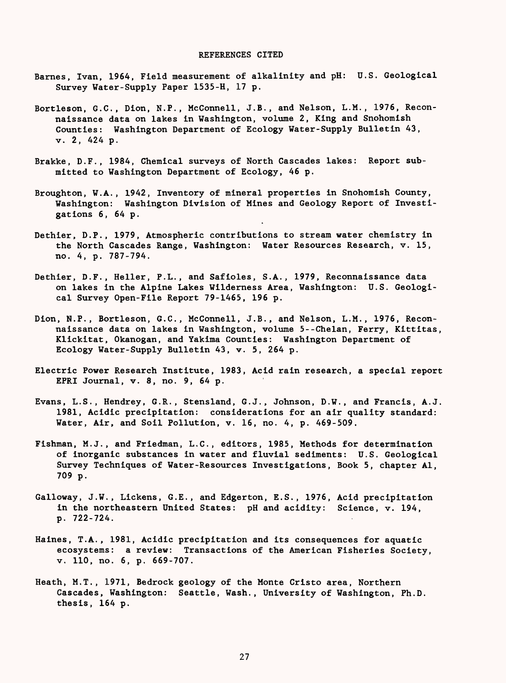#### REFERENCES CITED

- Barnes, Ivan, 1964, Field measurement of alkalinity and pH: U.S. Geological Survey Water-Supply Paper 1535-H, 17 p.
- Bortleson, G.C., Dion, N.P., McConnell, J.B., and Nelson, L.M., 1976, Reconnaissance data on lakes in Washington, volume 2, King and Snohomish Counties: Washington Department of Ecology Water-Supply Bulletin 43, v. 2, 424 p.
- Brakke, D.F., 1984, Chemical surveys of North Cascades lakes: Report submitted to Washington Department of Ecology, 46 p.
- Broughton, W.A., 1942, Inventory of mineral properties in Snohomish County, Washington: Washington Division of Mines and Geology Report of Investigations 6, 64 p.
- Dethier, D.P., 1979, Atmospheric contributions to stream water chemistry in the North Cascades Range, Washington: Water Resources Research, v. 15, no. 4, p. 787-794.
- Dethier, D.F., Heller, P.L., and Safioles, S.A., 1979, Reconnaissance data on lakes in the Alpine Lakes Wilderness Area, Washington: U.S. Geological Survey Open-File Report 79-1465, 196 p.
- Dion, N.P., Bortleson, G.C., McConnell, J.B., and Nelson, L.M., 1976, Reconnaissance data on lakes in Washington, volume 5--Chelan, Ferry, Kittitas, Klickitat, Okanogan, and Yakima Counties: Washington Department of Ecology Water-Supply Bulletin 43, v. 5, 264 p.
- Electric Power Research Institute, 1983, Acid rain research, a special report EPRI Journal, v. 8, no. 9, 64 p.
- Evans, L.S., Hendrey, G.R., Stensland, G.J., Johnson, D.W., and Francis, A.J. 1981, Acidic precipitation: considerations for an air quality standard: Water, Air, and Soil Pollution, v. 16, no. 4, p. 469-509.
- Fishman, M.J., and Friedman, L.C., editors, 1985, Methods for determination of inorganic substances in water and fluvial sediments: U.S. Geological Survey Techniques of Water-Resources Investigations, Book 5, chapter Al, 709 p.
- Galloway, J.W., Lickens, G.E., and Edgerton, E.S., 1976, Acid precipitation in the northeastern United States: pH and acidity: Science, v. 194, p. 722-724.
- Haines, T.A., 1981, Acidic precipitation and its consequences for aquatic ecosystems: a review: Transactions of the American Fisheries Society, v. 110, no. 6, p. 669-707.
- Heath, M.T., 1971, Bedrock geology of the Monte Cristo area, Northern Cascades, Washington: Seattle, Wash., University of Washington, Ph.D. thesis, 164 p.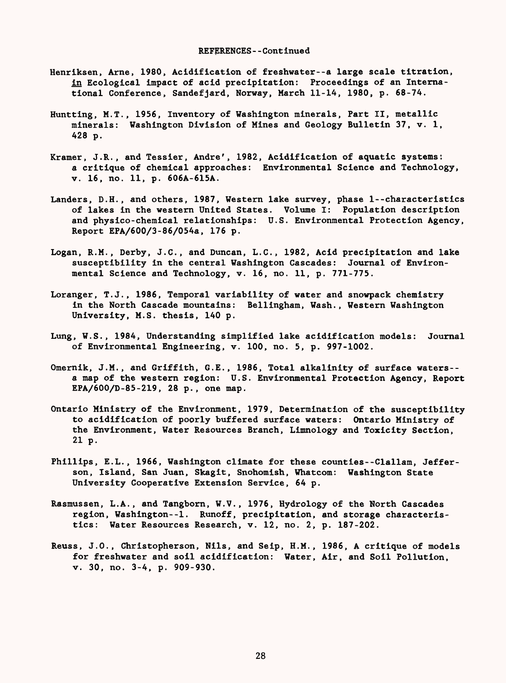- Henriksen, Arne, 1980, Acidification of freshwater--a large scale titration, in Ecological impact of acid precipitation: Proceedings of an International Conference, Sandefjard, Norway, March 11-14, 1980, p. 68-74.
- Huntting, M.T., 1956, Inventory of Washington minerals, Part II, metallic minerals: Washington Division of Mines and Geology Bulletin 37, v. 1, 428 p.
- Kramer, J.R., and Tessier, Andre', 1982, Acidification of aquatic systems: a critique of chemical approaches: Environmental Science and Technology, v. 16, no. 11, p. 606A-615A.
- Landers, D.H., and others, 1987, Western lake survey, phase 1--characteristics of lakes in the western United States. Volume I: Population description and physico-chemical relationships: U.S. Environmental Protection Agency, Report EPA/600/3-86/054a, 176 p.
- Logan, R.M., Derby, J.C., and Duncan, L.C., 1982, Acid precipitation and lake susceptibility in the central Washington Cascades: Journal of Environmental Science and Technology, v. 16, no. 11, p. 771-775.
- Loranger, T.J., 1986, Temporal variability of water and snowpack chemistry in the North Cascade mountains: Bellingham, Wash., Western Washington University, M.S. thesis, 140 p.
- Lung, W.S., 1984, Understanding simplified lake acidification models: Journal of Environmental Engineering, v. 100, no. 5, p. 997-1002.
- Omernik, J.M., and Griffith, G.E., 1986, Total alkalinity of surface waters- a map of the western region: U.S. Environmental Protection Agency, Report EPA/600/D-85-219, 28 p., one map.
- Ontario Ministry of the Environment, 1979, Determination of the susceptibility to acidification of poorly buffered surface waters: Ontario Ministry of the Environment, Water Resources Branch, Limnology and Toxicity Section, 21 p.
- Phillips, E.L., 1966, Washington climate for these counties--Clallam, Jefferson, Island, San Juan, Skagit, Snohomish, Whatcom: Washington State University Cooperative Extension Service, 64 p.
- Rasmussen, L.A., and Tangborn, W.V., 1976, Hydrology of the North Cascades region, Washington--!. Runoff, precipitation, and storage characteristics: Water Resources Research, v. 12, no. 2, p. 187-202.
- Reuss, J.O., Christopherson, Nils, and Seip, H.M., 1986, A critique of models for freshwater and soil acidification: Water, Air, and Soil Pollution, v. 30, no. 3-4, p. 909-930.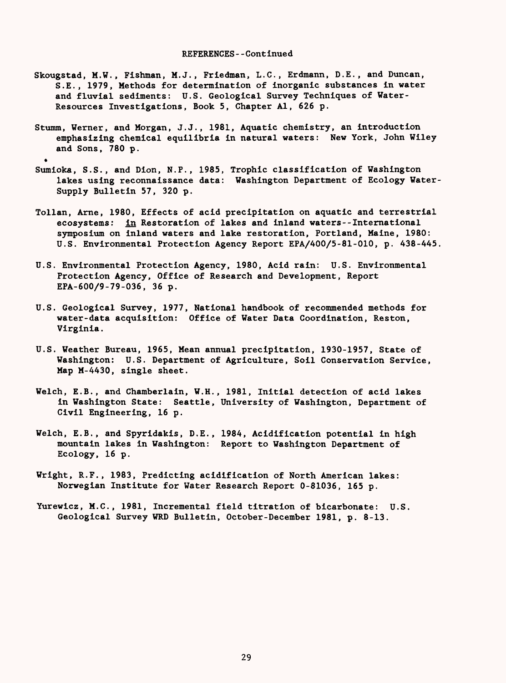- Skougstad, M.W., Fishman, M. J. , Friedman, L.C., Erdmann, D.E. , and Duncan, S.E., 1979, Methods for determination of inorganic substances in water and fluvial sediments: U.S. Geological Survey Techniques of Water-Resources Investigations, Book 5, Chapter Al, 626 p.
- Stumm, Werner, and Morgan, J.J., 1981, Aquatic chemistry, an introduction emphasizing chemical equilibria in natural waters: New York, John Wiley and Sons, 780 p.

.

- Sumioka, S.S., and Dion, N.P., 1985, Trophic classification of Washington lakes using reconnaissance data: Washington Department of Ecology Water-Supply Bulletin 57, 320 p.
- Tollan, Arne, 1980, Effects of acid precipitation on aquatic and terrestrial ecosystems: in Restoration of lakes and inland waters--International symposium on inland waters and lake restoration, Portland, Maine, 1980: U.S. Environmental Protection Agency Report EPA/400/5-81-010, p. 438-445
- U.S. Environmental Protection Agency, 1980, Acid rain: U.S. Environmental Protection Agency, Office of Research and Development, Report EPA-600/9-79-036, 36 p.
- U.S. Geological Survey, 1977, National handbook of recommended methods for water-data acquisition: Office of Water Data Coordination, Reston, Virginia.
- U.S. Weather Bureau, 1965, Mean annual precipitation, 1930-1957, State of Washington: U.S. Department of Agriculture, Soil Conservation Service, Map M-4430, single sheet.
- Welch, E.B., and Chamberlain, W.H., 1981, Initial detection of acid lakes in Washington State: Seattle, University of Washington, Department of Civil Engineering, 16 p.
- Welch, E.B., and Spyridakis, D.E., 1984, Acidification potential in high mountain lakes in Washington: Report to Washington Department of Ecology, 16 p.
- Wright, R.F., 1983, Predicting acidification of North American lakes: Norwegian Institute for Water Research Report 0-81036, 165 p.
- Yurewicz, M.C., 1981, Incremental field titration of bicarbonate: U.S. Geological Survey WRD Bulletin, October-December 1981, p. 8-13.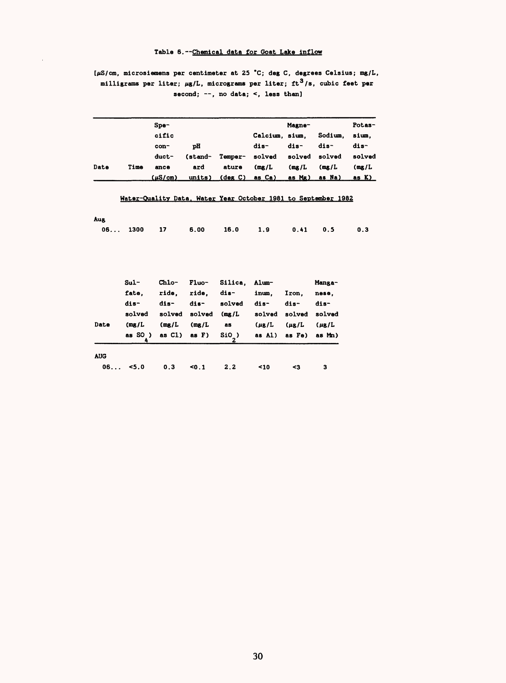## Table 6. --Chemical data for Goat Lake inflow

## [/iS/cm, microsiemens per centimeter at 25 \*C; deg C, degrees Celsius; mg/L, milligrams per liter;  $\mu$ g/L, micrograms per liter; ft<sup>3</sup>/s, cubic feet per second;  $\neg$ , no data; <, less than]

|            |         | S <sub>pe</sub> |         |                |                      | Magne-     |                                                               | Potas-       |
|------------|---------|-----------------|---------|----------------|----------------------|------------|---------------------------------------------------------------|--------------|
|            |         | cific           |         |                | Calcium, sium,       |            | Sodium,                                                       | sium,        |
|            |         | con-            | рH      |                | dis-                 | dis-       | dis-                                                          | dis-         |
|            |         | duct-           | (stand- | Temper-        | solved               | solved     | solved                                                        | solved       |
| Date       | Time    | ance            | ard     | ature          | (mg/L)               | (mg/L)     | (mg/L)                                                        | (mg/L)       |
|            |         | $(\mu S/cm)$    |         | units) (deg C) | as Ca)               | as Mg)     | as Na)                                                        | <u>as K)</u> |
|            |         |                 |         |                |                      |            |                                                               |              |
|            |         |                 |         |                |                      |            | Water-Quality Data, Water Year October 1981 to September 1982 |              |
|            |         |                 |         |                |                      |            |                                                               |              |
| Aug.       |         |                 |         |                |                      |            |                                                               |              |
| 06         | 1300    | 17              | 6.00    | 16.0           | 1.9                  | 0.41       | 0.5                                                           | 0.3          |
|            |         |                 |         |                |                      |            |                                                               |              |
|            |         |                 |         |                |                      |            |                                                               |              |
|            |         |                 |         |                |                      |            |                                                               |              |
|            | $Sul -$ | <b>Chlo-</b>    | $F1uo-$ | Silica,        | <b>Alum-</b>         |            | Manga-                                                        |              |
|            | fate,   | ride,           | ride.   | dis-           | inum,                | Iron,      | nese.                                                         |              |
|            | dis-    | dis-            | dis-    | solved         | dis-                 | dis-       | dis-                                                          |              |
|            | solved  | solved          | solved  | (mg/L)         | solved solved solved |            |                                                               |              |
| Date       | (mg/L)  | (mg/L)          | (mg/L)  | as             | $(\mu$ g/L           | $(\mu$ g/L | $(\mu$ <sub>B</sub> $/L$                                      |              |
|            | as SO)  | as Cl)          | as F)   | $S10$ )        | as Al) as Fe)        |            | as Mn)                                                        |              |
|            | 4       |                 |         | $\mathbf{z}$   |                      |            |                                                               |              |
| <b>AUG</b> |         |                 |         |                |                      |            |                                                               |              |
|            | 06 5.0  | 0.3             | 50.1    | 2.2            | 10                   | $3$        | 3                                                             |              |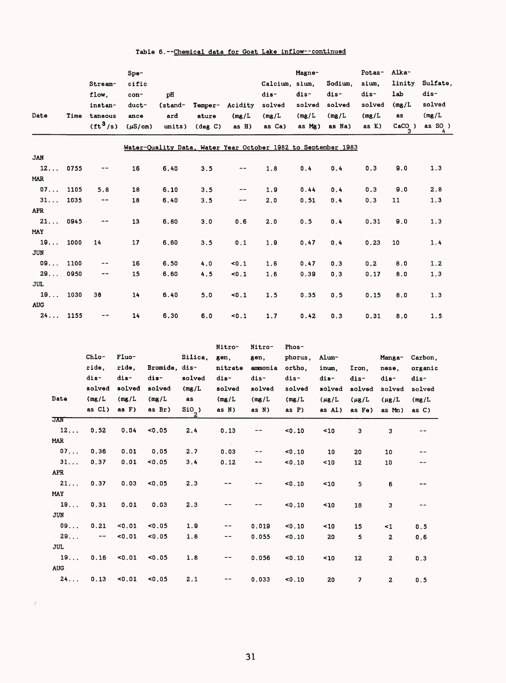|  |  |  | Table 6.--Chemical data for Goat Lake inflow--continued |  |
|--|--|--|---------------------------------------------------------|--|
|  |  |  |                                                         |  |

| Date       | Time | Stream-<br>flow.<br>instan-<br>taneous<br>$({\rm ft}^3/{\rm s})$ | $Spe-$<br>cific<br>con-<br>duct-<br>ance<br>$(\mu S/cm)$ | pH<br>(stand-<br>ard<br>units) | Temper-<br>ature<br>$(\text{deg } C)$ | Acidity<br>(mg/L)<br>$asH$ ) | Calcium,<br>dis-<br>solved<br>(mg/L)<br>as Ca)                | Magne-<br>sium.<br>dis-<br>solved<br>(mg/L)<br>as Mg) | Sodium.<br>dis-<br>solved<br>(mg/L)<br>as Na) | Potas-<br>sium.<br>dis-<br>solved<br>(mg/L)<br>as K) | Alka-<br>linity<br>lab<br>(mg/L)<br>as<br>CaCO) | Sulfate,<br>dis-<br>solved<br>(mg/L)<br>as $SO$ ) |
|------------|------|------------------------------------------------------------------|----------------------------------------------------------|--------------------------------|---------------------------------------|------------------------------|---------------------------------------------------------------|-------------------------------------------------------|-----------------------------------------------|------------------------------------------------------|-------------------------------------------------|---------------------------------------------------|
|            |      |                                                                  |                                                          |                                |                                       |                              | Water-Quality Data, Water Year October 1982 to September 1983 |                                                       |                                               |                                                      |                                                 |                                                   |
| <b>JAN</b> |      |                                                                  |                                                          |                                |                                       |                              |                                                               |                                                       |                                               |                                                      |                                                 |                                                   |
| 12         | 0755 |                                                                  | 16                                                       | 6.40                           | 3.5                                   | --                           | 1.8                                                           | 0.4                                                   | 0.4                                           | 0.3                                                  | 9.0                                             | 1.3                                               |
| <b>MAR</b> |      |                                                                  |                                                          |                                |                                       |                              |                                                               |                                                       |                                               |                                                      |                                                 |                                                   |
| 07         | 1105 | 5.8                                                              | 18                                                       | 6.10                           | 3.5                                   | --                           | 1.9                                                           | 0.44                                                  | 0.4                                           | 0.3                                                  | 9.0                                             | 2.8                                               |
| 31         | 1035 | --                                                               | 18                                                       | 6.40                           | 3.5                                   | --                           | 2,0                                                           | 0.51                                                  | 0.4                                           | 0.3                                                  | 11                                              | 1.3                                               |
| <b>APR</b> |      |                                                                  |                                                          |                                |                                       |                              |                                                               |                                                       |                                               |                                                      |                                                 |                                                   |
| 21         | 0945 | --                                                               | 13                                                       | 6.80                           | 3.0                                   | 0.6                          | 2.0                                                           | 0.5                                                   | 0.4                                           | 0.31                                                 | 9.0                                             | 1.3                                               |
| MAY        |      |                                                                  |                                                          |                                |                                       |                              |                                                               |                                                       |                                               |                                                      |                                                 |                                                   |
| 19         | 1000 | 14                                                               | 17                                                       | 6.60                           | 3.5                                   | 0.1                          | 1.9                                                           | 0.47                                                  | 0.4                                           | 0.23                                                 | 10                                              | 1.4                                               |
| <b>JUN</b> |      |                                                                  |                                                          |                                |                                       |                              |                                                               |                                                       |                                               |                                                      |                                                 |                                                   |
| $09.$      | 1100 |                                                                  | 16                                                       | 6.50                           | 4.0                                   | < 0.1                        | 1.6                                                           | 0.47                                                  | 0.3                                           | 0.2                                                  | 8.0                                             | 1.2                                               |
| 29         | 0950 | $\cdots$                                                         | 15                                                       | 6.60                           | 4.5                                   | 50.1                         | 1.6                                                           | 0.39                                                  | 0.3                                           | 0.17                                                 | 8.0                                             | 1.3                                               |
| <b>JUL</b> |      |                                                                  |                                                          |                                |                                       |                              |                                                               |                                                       |                                               |                                                      |                                                 |                                                   |
| 19         | 1030 | 38                                                               | 14                                                       | 6.40                           | 5.0                                   | 50.1                         | 1.5                                                           | 0.35                                                  | 0.5                                           | 0.15                                                 | 8.0                                             | 1.3                                               |
| <b>AUG</b> |      |                                                                  |                                                          |                                |                                       |                              |                                                               |                                                       |                                               |                                                      |                                                 |                                                   |
| 24         | 1155 | --                                                               | 14                                                       | 6.30                           | 6.0                                   | 50.1                         | 1.7                                                           | 0.42                                                  | 0.3                                           | 0.31                                                 | 8.0                                             | 1.5                                               |

|            |                             |        |               |                          | Nitro-     | Nitro-  | Phos-    |             |            |              |          |
|------------|-----------------------------|--------|---------------|--------------------------|------------|---------|----------|-------------|------------|--------------|----------|
|            | Chlo-                       | Fluo-  |               | Silica.                  | gen,       | gen.    | phorus,  | Alum-       |            | Manga-       | Carbon,  |
|            | ride.                       | ride.  | Bromide, dis- |                          | nitrate    | ammonia | ortho.   | inum.       | Iron.      | nese.        | organic  |
|            | dis-                        | dis-   | dis-          | solved                   | dis-       | dis-    | dis-     | dis-        | dis-       | dis-         | dis-     |
|            | solved                      | solved | solved        | (mg/L)                   | solved     | solved  | solved   | solved      | solved     | solved       | solved   |
| Date       | (mg/L)                      | (mg/L) | (mg/L)        | as                       | (mg/L)     | (mg/L)  | (mg/L)   | $(\mu g/L)$ | $(\mu$ g/L | $(\mu g/L)$  | (mg/L)   |
|            | as Cl)                      | as F)  | as Br)        | $\frac{\text{SiO}_2}{2}$ | as N)      | as N)   | as $P$ ) | as Al)      | as Fe)     | as Mn)       | as $C$ ) |
| JAN        |                             |        |               |                          |            |         |          |             |            |              |          |
| 12         | 0.52                        | 0.04   | < 0.05        | 2.4                      | 0.13       |         | $0.10$   | ~10         | 3          | 3            |          |
| MAR        |                             |        |               |                          | $\sim 100$ |         |          |             |            |              |          |
| 07         | 0.36                        | 0.01   | 0.05          | 2.7                      | 0.03       | --      | < 0.10   | 10          | 20         | 10           | --       |
| 31         | 0.37                        | 0.01   | 0.05          | 3.4                      | 0.12       | --      | $0.10$   | ~10         | 12         | 10           | --       |
| <b>APR</b> |                             |        |               |                          |            |         |          |             |            |              |          |
| 21         | 0.37                        | 0.03   | < 0.05        | 2.3                      |            |         | < 0.10   | ~10         | 5          | 6            | --       |
| MAY        |                             |        |               |                          |            |         |          |             |            |              |          |
| 19         | 0.31                        | 0.01   | 0.03          | 2.3                      |            |         | $0.10$   | ~10         | 18         | 3            |          |
| JUN        |                             |        |               |                          |            |         |          |             |            |              |          |
| 09         | 0.21                        | $0.01$ | $0.05$        | 1.9                      | $\cdots$   | 0.019   | $0.10$   | ~10         | 15         | $\leq 1$     | 0.5      |
| 29         | $\rightarrow$ $\rightarrow$ | 0.01   | $0.05$        | 1.8                      | --         | 0.055   | $0.10$   | 20          | 5          | $\mathbf{z}$ | 0.6      |
| <b>JUL</b> |                             |        |               |                          |            |         |          |             |            |              |          |
| 19         | 0.16                        | $0.01$ | $0.05$        | 1.8                      | --         | 0.056   | $0.10$   | ~10         | 12         | 2            | 0.3      |
| <b>AUG</b> |                             |        |               |                          |            |         |          |             |            |              |          |
| 24         | 0.13                        | $0.01$ | 0.05          | 2.1                      |            | 0.033   | < 0.10   | 20          | 7          | 2            | 0.5      |

 $\sim 20$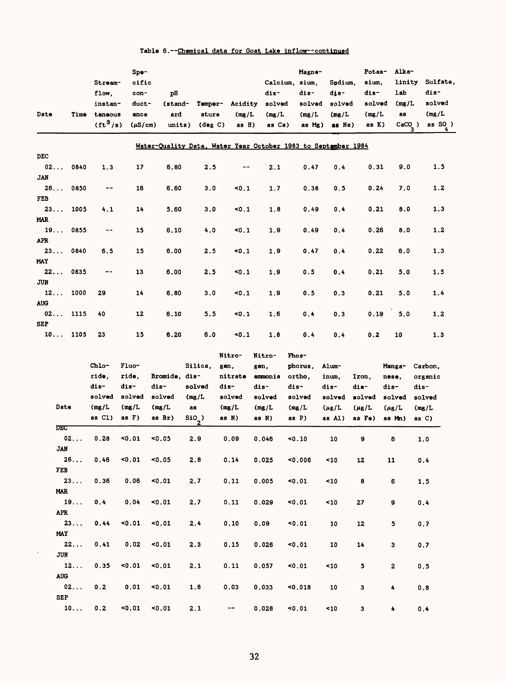| Date             | Time | Stream-<br>flow.<br>instan-<br>taneous<br>(tf <sup>3</sup> /s) | Spe-<br>cific<br>con-<br>duct-<br>ance<br>$(\mu S/cm)$ | рH<br>(stand-<br>ard<br>units) | Temper-<br>ature<br>$(\text{deg } C)$ | Acidity<br>(mg/L)<br>as $H$ ) | Calcium. sium.<br>dis-<br>solved<br>(mg/L)<br>as Ca)          | Magne-<br>dis-<br>solved<br>(mg/L)<br>as Mg) | Sodium.<br>dis-<br>solved<br>(mg/L)<br>as Na) | Potas-<br>sium.<br>dis-<br>solved<br>(mg/L)<br>as K) | Alka-<br>linity<br>1ab<br>(mg/L)<br>as<br>$CaCO_$ ) | Sulfate,<br>dis-<br>solved<br>(mg/L)<br>as $SO$ ) |
|------------------|------|----------------------------------------------------------------|--------------------------------------------------------|--------------------------------|---------------------------------------|-------------------------------|---------------------------------------------------------------|----------------------------------------------|-----------------------------------------------|------------------------------------------------------|-----------------------------------------------------|---------------------------------------------------|
|                  |      |                                                                |                                                        |                                |                                       |                               | Water-Quality Data, Water Year October 1983 to September 1984 |                                              |                                               |                                                      |                                                     |                                                   |
| DEC              |      |                                                                |                                                        |                                |                                       |                               |                                                               |                                              |                                               |                                                      |                                                     |                                                   |
| 02               | 0840 | 1.3                                                            | 17                                                     | 6.80                           | 2.5                                   | $- -$                         | 2.1                                                           | 0.47                                         | 0.4                                           | 0.31                                                 | 9.0                                                 | 1.5                                               |
| <b>JAN</b>       |      |                                                                |                                                        |                                |                                       |                               |                                                               |                                              |                                               |                                                      |                                                     |                                                   |
| 26               | 0850 | $\qquad \qquad -$                                              | 16                                                     | 6.60                           | 3.0                                   | 50.1                          | 1.7                                                           | 0.38                                         | 0.5                                           | 0.24                                                 | 7.0                                                 | 1.2                                               |
| FEB              |      |                                                                |                                                        |                                |                                       |                               |                                                               |                                              |                                               |                                                      |                                                     |                                                   |
| 23               | 1005 | 4.1                                                            | 14                                                     | 5.60                           | 3.0                                   | 50.1                          | 1.8                                                           | 0.49                                         | 0.4                                           | 0.21                                                 | 8.0                                                 | 1.3                                               |
| <b>MAR</b>       |      |                                                                |                                                        |                                |                                       |                               |                                                               |                                              |                                               |                                                      |                                                     |                                                   |
| 19               | 0855 | $\qquad \qquad -$                                              | 15                                                     | 6.10                           | 4.0                                   | 50.1                          | 1.9                                                           | 0.49                                         | 0.4                                           | 0.26                                                 | 8.0                                                 | 1.2                                               |
| <b>APR</b>       |      |                                                                |                                                        |                                |                                       |                               |                                                               |                                              |                                               |                                                      |                                                     |                                                   |
| 23               | 0840 | 6.5                                                            | 15                                                     | 6.00                           | 2.5                                   | 50.1                          | 1.9                                                           | 0.47                                         | 0.4                                           | 0.22                                                 | 6.0                                                 | 1.3                                               |
| MAY              |      |                                                                |                                                        |                                |                                       |                               |                                                               |                                              |                                               |                                                      |                                                     |                                                   |
| 22<br><b>JUN</b> | 0835 | $\qquad \qquad -$                                              | 13                                                     | 6.00                           | 2.5                                   | 50.1                          | 1.9                                                           | 0.5                                          | 0.4                                           | 0.21                                                 | 5.0                                                 | 1.5                                               |
| 12               | 1000 | 29                                                             | 14                                                     | 6.80                           | 3.0                                   | 50.1                          | 1.9                                                           | 0.5                                          | 0.3                                           | 0.21                                                 | 5.0                                                 | 1.4                                               |
| <b>AUG</b>       |      |                                                                |                                                        |                                |                                       |                               |                                                               |                                              |                                               |                                                      |                                                     |                                                   |
| 02               | 1115 | 40                                                             | 12                                                     | 6.10                           | 5.5                                   | 50.1                          | 1.6                                                           | 0.4                                          | 0.3                                           | 0.19                                                 | 5.0                                                 | 1.2                                               |
| <b>SEP</b>       |      |                                                                |                                                        |                                |                                       |                               |                                                               |                                              |                                               |                                                      |                                                     |                                                   |
| 10               | 1105 | 23                                                             | 15                                                     | 6.20                           | 6.0                                   | 50.1                          | 1.8                                                           | 0.4                                          | 0.4                                           | 0.2                                                  | 10                                                  | 1.3                                               |

| Date<br><b>DEC</b> | Chlo-<br>ride.<br>dis-<br>solved<br>(mg/L)<br>as Cl) | Fluo-<br>ride.<br>dis-<br>solved<br>(mg/L)<br>as $F$ ) | Bromide, dis-<br>dis-<br>solved<br>(mg/L)<br>as Br) | Silica.<br>solved<br>(mg/L)<br><b>as</b><br>$\mathbf{S}$ <sub>2</sub> ) | Nitro-<br>gen.<br>nitrate<br>dis-<br>solved<br>(mg/L)<br>as N) | Nitro-<br>gen.<br>ammonia<br>dis-<br>solved<br>(mg/L)<br>as N) | <b>Phos-</b><br>phorus,<br>ortho.<br>dis-<br>solved<br>(mg/L)<br>as $P$ ) | Alum-<br>inum.<br>dis-<br>solved<br>$(\mu$ g/L<br>as Al) | Iron.<br>dis-<br>solved<br>$(\mu$ g/L<br>as Fe) | Manga-<br>nese.<br>dis-<br>solved<br>$(\mu$ g/L<br>as Mm) | Carbon.<br>organic<br>dis-<br>solved<br>(mg/L)<br>as C) |
|--------------------|------------------------------------------------------|--------------------------------------------------------|-----------------------------------------------------|-------------------------------------------------------------------------|----------------------------------------------------------------|----------------------------------------------------------------|---------------------------------------------------------------------------|----------------------------------------------------------|-------------------------------------------------|-----------------------------------------------------------|---------------------------------------------------------|
| 02                 | 0.28                                                 | 50.01                                                  | 0.05                                                | 2.9                                                                     | 0.09                                                           | 0.046                                                          | < 0.10                                                                    | 10                                                       | 9                                               | 6                                                         | 1.0                                                     |
| <b>JAN</b>         |                                                      |                                                        |                                                     |                                                                         |                                                                |                                                                |                                                                           |                                                          |                                                 |                                                           |                                                         |
| 26.                | 0.46                                                 | 50.01                                                  | 0.05                                                | 2.8                                                                     | 0.14                                                           | 0.025                                                          | $0.006$                                                                   | 10                                                       | 12                                              | 11                                                        | 0.4                                                     |
| FEB                |                                                      |                                                        |                                                     |                                                                         |                                                                |                                                                |                                                                           |                                                          |                                                 |                                                           |                                                         |
| 23                 | 0.36                                                 | 0.06                                                   | 50.01                                               | 2.7                                                                     | 0.11                                                           | 0.005                                                          | < 0.01                                                                    | $10$                                                     | 8                                               | 6                                                         | 1.5                                                     |
| <b>MAR</b>         |                                                      |                                                        |                                                     |                                                                         |                                                                |                                                                |                                                                           |                                                          |                                                 |                                                           |                                                         |
| 19                 | 0.4                                                  | 0.04                                                   | 50.01                                               | 2.7                                                                     | 0.11                                                           | 0.029                                                          | 50.01                                                                     | < 10                                                     | 27                                              | 9                                                         | 0.4                                                     |
| <b>APR</b><br>23   | 0.44                                                 | < 0.01                                                 | 0.01                                                | 2.4                                                                     | 0.10                                                           | 0.09                                                           | 0.01                                                                      | 10                                                       | 12                                              | 5                                                         |                                                         |
| MAY                |                                                      |                                                        |                                                     |                                                                         |                                                                |                                                                |                                                                           |                                                          |                                                 |                                                           | 0.7                                                     |
| 22                 | 0.41                                                 | 0.02                                                   | 0.01                                                | 2.3                                                                     | 0.15                                                           | 0.026                                                          | 50.01                                                                     | 10                                                       | 14                                              | 3                                                         | 0.7                                                     |
| <b>JUN</b>         |                                                      |                                                        |                                                     |                                                                         |                                                                |                                                                |                                                                           |                                                          |                                                 |                                                           |                                                         |
| 12                 | 0.35                                                 | 0.01                                                   | 0.01                                                | 2.1                                                                     | 0.11                                                           | 0.057                                                          | 0.01                                                                      | < 10                                                     | 5                                               | $\mathbf{z}$                                              | 0.5                                                     |
| <b>AUG</b>         |                                                      |                                                        |                                                     |                                                                         |                                                                |                                                                |                                                                           |                                                          |                                                 |                                                           |                                                         |
| 02                 | 0.2                                                  | 0.01                                                   | 50.01                                               | 1,8                                                                     | 0.03                                                           | 0.033                                                          | < 0.018                                                                   | 10                                                       | з                                               | 4                                                         | 0.8                                                     |
| <b>SEP</b>         |                                                      |                                                        |                                                     |                                                                         |                                                                |                                                                |                                                                           |                                                          |                                                 |                                                           |                                                         |
| 10                 | 0.2                                                  | $0.01$                                                 | 50.01                                               | 2.1                                                                     | --                                                             | 0.028                                                          | 0.01                                                                      | ~10                                                      | 3                                               | 4                                                         | 0.4                                                     |

 $\sim 10^7$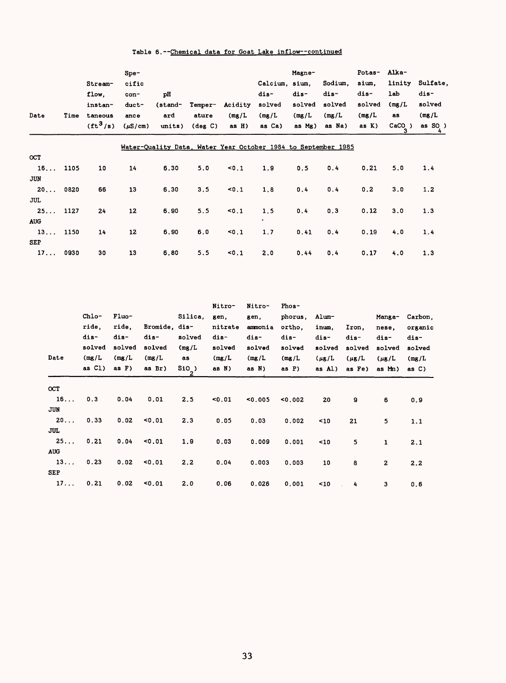## Table 6. --Chemical data for Goat Lake inflow--continued

|            |      |                        | Spe-         |         |                   |         |                                                               | Magne- |         | Potas- | Alka-    |                 |
|------------|------|------------------------|--------------|---------|-------------------|---------|---------------------------------------------------------------|--------|---------|--------|----------|-----------------|
|            |      | Stream-                | cific        |         |                   |         | Calcium. sium.                                                |        | Sodium. | sium,  | linity   | Sulfate,        |
|            |      | flow.                  | con-         | pH      |                   |         | dis-                                                          | dis-   | dis-    | dis-   | lab      | dis-            |
|            |      | instan-                | duct-        | (stand- | Temper-           | Acidity | solved                                                        | solved | solved  | solved | (mg/L)   | solved          |
| Date       | Time | taneous                | ance         | ard     | ature             | (mg/L)  | (mg/L)                                                        | (mg/L) | (mg/L)  | (mg/L) | as       | (mg/L)          |
|            |      | $({\rm ft}^3/{\rm s})$ | $(\mu S/cm)$ | units)  | $(\text{deg } C)$ | as H)   | as Ca)                                                        | as Mg) | as Na)  | as K)  | $CACO$ ) | as $SO$ )<br>4. |
|            |      |                        |              |         |                   |         | Water-Quality Data, Water Year October 1984 to September 1985 |        |         |        |          |                 |
| <b>OCT</b> |      |                        |              |         |                   |         |                                                               |        |         |        |          |                 |
| 16         | 1105 | 10                     | 14           | 6.30    | 5.0               | < 0.1   | 1.9                                                           | 0.5    | 0.4     | 0.21   | 5.0      | 1.4             |
| JUN        |      |                        |              |         |                   |         |                                                               |        |         |        |          |                 |
| 20         | 0820 | 66                     | 13           | 6.30    | 3.5               | 50.1    | 1.8                                                           | 0.4    | 0.4     | 0.2    | 3.0      | 1.2             |
| JUL        |      |                        |              |         |                   |         |                                                               |        |         |        |          |                 |
| 25         | 1127 | 24                     | 12           | 6.90    | 5.5               | 50.1    | 1, 5                                                          | 0.4    | 0.3     | 0.12   | 3.0      | 1.3             |
| <b>AUG</b> |      |                        |              |         |                   |         | $\bullet$                                                     |        |         |        |          |                 |
| 13         | 1150 | 14                     | 12           | 6.90    | 6.0               | 50.1    | 1.7                                                           | 0.41   | 0.4     | 0.19   | 4.0      | 1.4             |
| <b>SEP</b> |      |                        |              |         |                   |         |                                                               |        |         |        |          |                 |
| 17         | 0930 | 30                     | 13           | 6.80    | 5.5               | 50.1    | 2.0                                                           | 0.44   | 0.4     | 0.17   | 4.0      | 1.3             |

|            |                                                        |                                                     |                                                     |                                                | Nitro-                                               | Nitro-                                               | Phos-                                                  |                                                          |                                                 |                                                           |                                                         |
|------------|--------------------------------------------------------|-----------------------------------------------------|-----------------------------------------------------|------------------------------------------------|------------------------------------------------------|------------------------------------------------------|--------------------------------------------------------|----------------------------------------------------------|-------------------------------------------------|-----------------------------------------------------------|---------------------------------------------------------|
| Date       | $Chlo-$<br>ride.<br>dis-<br>solved<br>(mg/L)<br>as Cl) | Fluo-<br>ride.<br>dis-<br>solved<br>(mg/L)<br>as F) | Bromide, dis-<br>dis-<br>solved<br>(mg/L)<br>as Br) | Silica.<br>solved<br>(mg/L)<br>as<br>SiO)<br>2 | gen.<br>nitrate<br>dis-<br>solved<br>(mg/L)<br>as N) | gen,<br>ammonia<br>dis-<br>solved<br>(mg/L)<br>as N) | phorus,<br>ortho.<br>dis-<br>solved<br>(mg/L)<br>as P) | Alum-<br>inum,<br>dis-<br>solved<br>$(\mu$ g/L<br>as Al) | Iron.<br>dis-<br>solved<br>$(\mu$ g/L<br>as Fe) | Manga-<br>nese.<br>dis-<br>solved<br>$(\mu$ g/L<br>as Mn) | Carbon,<br>organic<br>dis-<br>solved<br>(mg/L)<br>as C) |
| <b>OCT</b> |                                                        |                                                     |                                                     |                                                |                                                      |                                                      |                                                        |                                                          |                                                 |                                                           |                                                         |
| 16         | 0.3                                                    | 0.04                                                | 0.01                                                | 2.5                                            | $0.01$                                               | $0.005$                                              | 0.002                                                  | 20                                                       | 9                                               | 6                                                         | 0.9                                                     |
| <b>JUN</b> |                                                        |                                                     |                                                     |                                                |                                                      |                                                      |                                                        |                                                          |                                                 |                                                           |                                                         |
| $20.$      | 0.33                                                   | 0.02                                                | < 0.01                                              | 2.3                                            | 0.05                                                 | 0.03                                                 | 0.002                                                  | 10                                                       | 21                                              | 5                                                         | 1.1                                                     |
| JUL        |                                                        |                                                     |                                                     |                                                |                                                      |                                                      |                                                        |                                                          |                                                 |                                                           |                                                         |
| 25         | 0.21                                                   | 0.04                                                | $0.01$                                              | 1.9                                            | 0.03                                                 | 0.009                                                | 0.001                                                  | $10$                                                     | 5                                               | 1                                                         | 2.1                                                     |
| <b>AUG</b> |                                                        |                                                     |                                                     |                                                |                                                      |                                                      |                                                        |                                                          |                                                 |                                                           |                                                         |
| 13         | 0.23                                                   | 0.02                                                | < 0.01                                              | 2.2                                            | 0.04                                                 | 0.003                                                | 0.003                                                  | 10                                                       | 8                                               | $\mathbf{z}$                                              | 2.2                                                     |
| <b>SEP</b> |                                                        |                                                     |                                                     |                                                |                                                      |                                                      |                                                        |                                                          |                                                 |                                                           |                                                         |
| 17         | 0.21                                                   | 0.02                                                | 50.01                                               | 2.0                                            | 0.06                                                 | 0.026                                                | 0.001                                                  | ~10                                                      | 4                                               | 3                                                         | 0.6                                                     |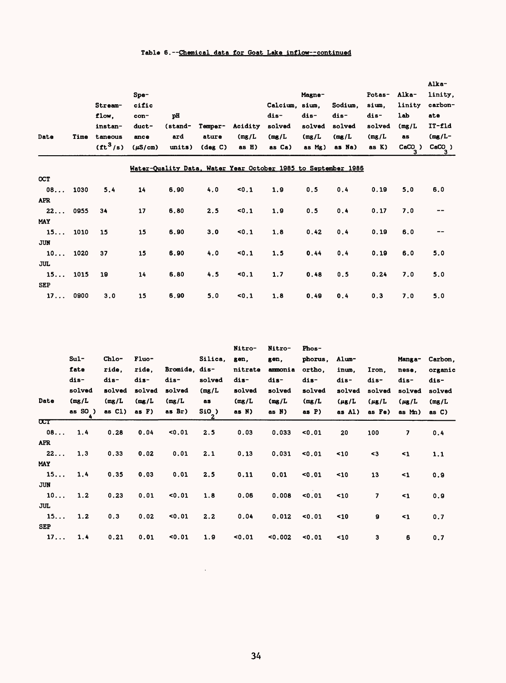## Table 6. --Chemical data for Goat Lake inflow--continued

| Date       | Time | Stream-<br>flow.<br>instan-<br>taneous<br>$(tt^3/s)$ | S <sub>pe</sub><br>cific<br>con-<br>duct-<br>ance<br>$(\mu S/cm)$ | pH<br>(stand-<br>ard<br>units) | Temper-<br>ature<br>$(\text{deg } C)$ | Acidity<br>(mg/L)<br>as H) | Calcium, sium,<br>dis-<br>solved<br>(mg/L)<br>as Ca)          | Magne-<br>dis-<br>solved<br>(mg/L)<br>as Mg) | Sodium.<br>dis-<br>solved<br>(mg/L)<br>as Na) | Potas-<br>sium.<br>dis-<br>solved<br>(mg/L)<br>as K) | Alka-<br>linity<br><b>lab</b><br>(mg/L)<br>as<br>CaCO) | Alka-<br>linity,<br>carbon-<br>ate<br>$IT-fld$<br>$(mg/L -$<br>$\texttt{CaCO}_{3}^{\phantom{\dag}}$ ) |
|------------|------|------------------------------------------------------|-------------------------------------------------------------------|--------------------------------|---------------------------------------|----------------------------|---------------------------------------------------------------|----------------------------------------------|-----------------------------------------------|------------------------------------------------------|--------------------------------------------------------|-------------------------------------------------------------------------------------------------------|
|            |      |                                                      |                                                                   |                                |                                       |                            | Water-Quality Data, Water Year October 1985 to September 1986 |                                              |                                               |                                                      |                                                        |                                                                                                       |
| <b>OCT</b> |      |                                                      |                                                                   |                                |                                       |                            |                                                               |                                              |                                               |                                                      |                                                        |                                                                                                       |
| 08         | 1030 | 5.4                                                  | 14                                                                | 6.90                           | 4.0                                   | 50.1                       | 1.9                                                           | 0.5                                          | 0.4                                           | 0.19                                                 | 5.0                                                    | 6.0                                                                                                   |
| <b>APR</b> |      |                                                      |                                                                   |                                |                                       |                            |                                                               |                                              |                                               |                                                      |                                                        |                                                                                                       |
| 22         | 0955 | 34                                                   | 17                                                                | 6.80                           | 2.5                                   | 50.1                       | 1.9                                                           | 0.5                                          | 0.4                                           | 0.17                                                 | 7.0                                                    |                                                                                                       |
| <b>MAY</b> |      |                                                      |                                                                   |                                |                                       |                            |                                                               |                                              |                                               |                                                      |                                                        |                                                                                                       |
| 15         | 1010 | 15                                                   | 15                                                                | 6.90                           | 3.0                                   | 50.1                       | 1.8                                                           | 0.42                                         | 0.4                                           | 0.19                                                 | 6.0                                                    |                                                                                                       |
| <b>JUN</b> |      |                                                      |                                                                   |                                |                                       |                            |                                                               |                                              |                                               |                                                      |                                                        |                                                                                                       |
| 10         | 1020 | 37                                                   | 15                                                                | 6.90                           | 4.0                                   | 50.1                       | 1.5                                                           | 0.44                                         | 0.4                                           | 0.19                                                 | 6.0                                                    | 5.0                                                                                                   |
| JUL        |      |                                                      |                                                                   |                                |                                       |                            |                                                               |                                              |                                               |                                                      |                                                        |                                                                                                       |
| 15         | 1015 | 19                                                   | 14                                                                | 6.80                           | 4.5                                   | 50.1                       | 1.7                                                           | 0.48                                         | 0.5                                           | 0.24                                                 | 7.0                                                    | 5.0                                                                                                   |
| <b>SEP</b> |      |                                                      |                                                                   |                                |                                       |                            |                                                               |                                              |                                               |                                                      |                                                        |                                                                                                       |
| 17         | 0900 | 3.0                                                  | 15                                                                | 6.90                           | 5.0                                   | 50.1                       | 1.8                                                           | 0.49                                         | 0.4                                           | 0.3                                                  | 7.0                                                    | 5.0                                                                                                   |

|                         |           |           |          |               |         | Nitro-  | Nitro-  | Phos-    |            |                          |            |         |
|-------------------------|-----------|-----------|----------|---------------|---------|---------|---------|----------|------------|--------------------------|------------|---------|
|                         | $Sul -$   | Chlo-     | Fluo-    |               | Silica. | gen,    | gen,    | phorus,  | Alum-      |                          | Manga-     | Carbon. |
|                         | fate      | ride.     | ride.    | Bromide, dis- |         | nitrate | ammonia | ortho.   | inum.      | Iron.                    | nese.      | organic |
|                         | dis-      | dis-      | dis-     | dis-          | solved  | dis-    | dis-    | dis-     | dis-       | dis-                     | dis-       | dis-    |
|                         | solved    | solved    | solved   | solved        | (mg/L)  | solved  | solved  | solved   | solved     | solved                   | solved     | solved  |
| Date                    | (mg/L)    | (mg/L)    | (mg/L)   | (mg/L)        | as      | (mg/L)  | (mg/L)  | (mg/L)   | $(\mu$ g/L | $(\mu$ g/L               | $(\mu$ g/L | (mg/L)  |
|                         | as $SO$ ) | as $C1$ ) | as $F$ ) | as Br)        | $SIO$ ) | as N)   | as N)   | as $P$ ) | as Al)     | as Fe)                   | as Mn)     | as C)   |
| $\overline{\text{CCT}}$ |           |           |          |               |         |         |         |          |            |                          |            |         |
| 08                      | 1.4       | 0.28      | 0.04     | 0.01          | 2.5     | 0.03    | 0.033   | 0.01     | 20         | 100                      | 7          | 0.4     |
| <b>APR</b>              |           |           |          |               |         |         |         |          |            |                          |            |         |
| 22                      | 1,3       | 0.33      | 0.02     | 0.01          | 2.1     | 0.13    | 0.031   | 50.01    | 10         | $3$                      | <1         | 1.1     |
| MAY                     |           |           |          |               |         |         |         |          |            |                          |            |         |
| 15                      | 1.4       | 0.35      | 0.03     | 0.01          | 2.5     | 0.11    | 0.01    | 50.01    | ~10        | 13                       | $\leq 1$   | 0.9     |
| <b>JUN</b>              |           |           |          |               |         |         |         |          |            |                          |            |         |
| 10                      | 1.2       | 0.23      | 0.01     | 0.01          | 1.8     | 0.06    | 0.008   | 0.01     | $10$       | $\overline{\phantom{a}}$ | $\leq 1$   | 0.9     |
| JUL                     |           |           |          |               |         |         |         |          |            |                          |            |         |
| 15                      | 1.2       | 0.3       | 0.02     | 0.01          | 2.2     | 0.04    | 0.012   | 0.01     | 10<        | a                        | $\leq 1$   | 0.7     |
| <b>SEP</b>              |           |           |          |               |         |         |         |          |            |                          |            |         |
| 17                      | 1.4       | 0.21      | 0.01     | 0.01          | 1.9     | 0.01    | $0.002$ | 0.01     | 10         | 3                        | 6          | 0.7     |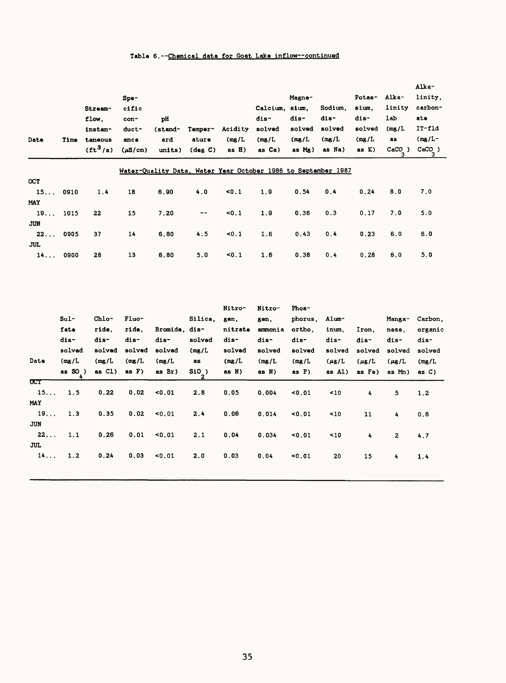## Table 6. --Chemical data for Goat Lake inflow--continued

| Date       | Time | Stream-<br>flow.<br>instan-<br>taneous<br>$({\rm ft}^3/{\rm s})$ | Spe-<br>cific<br>con-<br>duct-<br>ance<br>$(\mu S/cm)$ | pH<br>(stand-<br>ard<br>units) | Temper-<br>ature<br>(dag C) | Acidity<br>(mg/L)<br>$asH$ ) | Calcium, sium,<br>dis-<br>solved<br>(mg/L)<br>as Ca)          | Magne-<br>dis-<br>solved<br>(mg/L)<br>as Mg) | Sodium.<br>dis-<br>solved<br>(mg/L)<br>as Na) | Potas-<br>sium.<br>dis-<br>solved<br>(mg/L)<br>as K) | Alka-<br>linity<br>lab<br>(mg/L)<br>as<br>$CACO$ ) | Alka-<br>linity.<br>carbon-<br>ate<br>IT-fld<br>$(mg/L -$<br>$CaCO$ )<br>з |
|------------|------|------------------------------------------------------------------|--------------------------------------------------------|--------------------------------|-----------------------------|------------------------------|---------------------------------------------------------------|----------------------------------------------|-----------------------------------------------|------------------------------------------------------|----------------------------------------------------|----------------------------------------------------------------------------|
|            |      |                                                                  |                                                        |                                |                             |                              | Water-Ouality Data, Water Year October 1986 to September 1987 |                                              |                                               |                                                      |                                                    |                                                                            |
| <b>OCT</b> |      |                                                                  |                                                        |                                |                             |                              |                                                               |                                              |                                               |                                                      |                                                    |                                                                            |
| 15         | 0910 | 1.4                                                              | 18                                                     | 6.90                           | 4.0                         | 50.1                         | 1.9                                                           | 0.54                                         | 0.4                                           | 0.24                                                 | 8.0                                                | 7.0                                                                        |
| MAY        |      |                                                                  |                                                        |                                |                             |                              |                                                               |                                              |                                               |                                                      |                                                    |                                                                            |
| 19         | 1015 | 22                                                               | 15                                                     | 7.20                           | $\frac{1}{2}$               | 50.1                         | 1.9                                                           | 0.36                                         | 0.3                                           | 0.17                                                 | 7.0                                                | 5.0                                                                        |
| <b>JUN</b> |      |                                                                  |                                                        |                                |                             |                              |                                                               |                                              |                                               |                                                      |                                                    |                                                                            |
| 22<br>JUL  | 0905 | 37                                                               | 14                                                     | 6.80                           | 4.5                         | 50.1                         | 1.6                                                           | 0.43                                         | 0.4                                           | 0.23                                                 | 6.0                                                | 6.0                                                                        |
| 14         | 0900 | 28                                                               | 13                                                     | 6,80                           | 5.0                         | 50.1                         | 1.6                                                           | 0.38                                         | 0.4                                           | 0.28                                                 | 6.0                                                | 5.0                                                                        |

|                         |           |        |          |               |         | Nitro-  | Nitro-   | Phos-   |            |            |              |          |
|-------------------------|-----------|--------|----------|---------------|---------|---------|----------|---------|------------|------------|--------------|----------|
|                         | $Sul -$   | Chlo-  | Fluo-    |               | Silica. | gen,    | gen.     | phorus, | Alum-      |            | Manga-       | Carbon,  |
|                         | fate      | ride.  | ride.    | Bromide, dis- |         | nitrate | ammonia  | ortho,  | inum.      | Iron,      | nese.        | organic  |
|                         | dis-      | dis-   | dis-     | dis-          | solved  | dis-    | $dis-$   | $dis-$  | dis-       | dis-       | dis-         | dis-     |
|                         | solved    | solved | solved   | solved        | (mg/L)  | solved  | solved   | solved  | solved     | solved     | solved       | solved   |
| Date                    | (mg/L)    | (mg/L) | (mg/L)   | (mg/L)        | as      | (mg/L)  | (mg/L)   | (mg/L)  | $(\mu$ g/L | $(\mu$ g/L | $(\mu g/L)$  | (mg/L)   |
|                         | as $SO$ ) | as Cl) | as $F$ ) | as Br)        | $S10$ ) | as N)   | as $N$ ) | as P    | as Al)     | as Fe)     | as Mn)       | as $C$ ) |
| $\overline{\text{CCT}}$ |           |        |          |               |         |         |          |         |            |            |              |          |
| 15                      | 1.5       | 0.22   | 0.02     | 0.01          | 2.8     | 0.05    | 0.004    | $0.01$  | 10         | 4          | 5.           | 1.2      |
| MAY                     |           |        |          |               |         |         |          |         |            |            |              |          |
| 19                      | 1.3       | 0.35   | 0.02     | 50.01         | 2.4     | 0.06    | 0.014    | $0.01$  | 10         | 11         | 4            | 0.6      |
| JUN                     |           |        |          |               |         |         |          |         |            |            |              |          |
| 22                      | 1.1       | 0.26   | 0.01     | 50.01         | 2.1     | 0.04    | 0.034    | < 0.01  | ~10        | 4          | $\mathbf{2}$ | 4.7      |
| <b>JUL</b>              |           |        |          |               |         |         |          |         |            |            |              |          |
| 14                      | 1.2       | 0.24   | 0.03     | 50.01         | 2.0     | 0.03    | 0.04     | 50.01   | 20         | 15         | 4            | 1.4      |
|                         |           |        |          |               |         |         |          |         |            |            |              |          |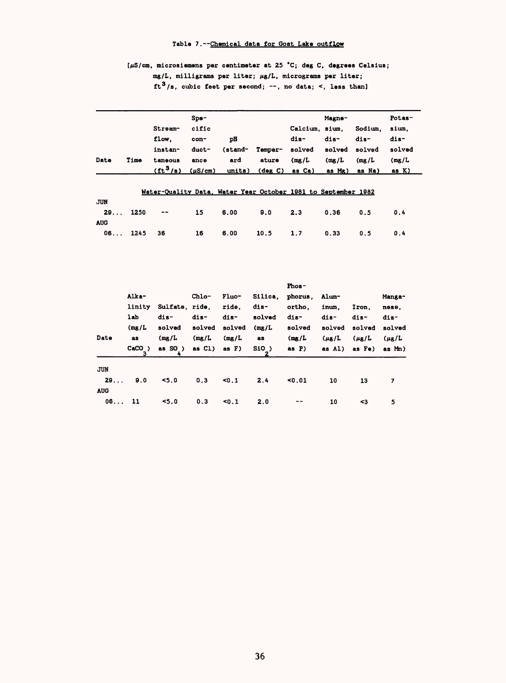## Table 7. --Chemical data for Goat Lake outflow

## $[\mu S/cm,$  microsiemens per centimeter at 25 °C; deg C, degrees Celsius; mg/L, milligrams per liter;  $\mu$ g/L, micrograms per liter; ft<sup>3</sup>/s, cubic feet per second; --, no data; <, less than]

|            |      |                                                               | $Spe-$       |         |                             |                | Magne- |         | Potas- |
|------------|------|---------------------------------------------------------------|--------------|---------|-----------------------------|----------------|--------|---------|--------|
|            |      | Stream-                                                       | cific        |         |                             | Calcium, sium. |        | Sodium. | sium.  |
|            |      | flow.                                                         | con-         | рH      |                             | dis-           | dis-   | dis-    | dis-   |
|            |      | instan-                                                       | duct-        | (stand- | Temper-                     | solved         | solved | solved  | solved |
| Date       | Time | taneous                                                       | ance         | ard     | ature                       | (mg/L)         | (mg/L) | (mg/L)  | (mg/L) |
|            |      | $({\tt ft}^3/s)$                                              | $(\mu S/cm)$ | units)  | $(\text{deg } C)$ as $Ca$ ) |                | as Mg) | as Na)  | as K)  |
|            |      | Water-Quality Data, Water Year October 1981 to September 1982 |              |         |                             |                |        |         |        |
| <b>JUN</b> |      |                                                               |              |         |                             |                |        |         |        |
| $29.$      | 1250 |                                                               | 15           | 6.00    | 9.0                         | 2.3            | 0.36   | 0.5     | 0.4    |
| <b>AUG</b> |      |                                                               |              |         |                             |                |        |         |        |
| 06         | 1245 | 36                                                            | 16           | 6.00    | 10.5                        | 1.7            | 0.33   | 0.5     | 0.4    |

| Date             | Alka-<br>linity<br>lab<br>(mg/L)<br>as<br>CaCO) | Sulfate, ride.<br>$dis-$<br>solved<br>(mg/L)<br>as $SO$ ) | Chlo-<br>dis-<br>solved<br>(mg/L)<br>as $CL$ ) as $F$ ) | <b>Fluo-</b><br>ride.<br>dis-<br>solved<br>(mg/L) | Silica.<br>$dis-$<br>solved<br>(mg/L)<br>as<br>S10) | Phos-<br>phorus.<br>ortho.<br>$dis-$<br>solved<br>(mg/L)<br>as P | <b>Alum-</b><br>inum.<br>dis-<br>solved<br>$(\mu$ g/L<br>as Al) | Iron.<br>dis-<br>solved<br>$(\mu g/L)$<br>as Fe) | Manga-<br>nese.<br>dis-<br>solved<br>$(\mu$ g/L<br>as Mn) |
|------------------|-------------------------------------------------|-----------------------------------------------------------|---------------------------------------------------------|---------------------------------------------------|-----------------------------------------------------|------------------------------------------------------------------|-----------------------------------------------------------------|--------------------------------------------------|-----------------------------------------------------------|
| <b>JUN</b><br>29 | 9.0                                             | 5.0                                                       | 0.3                                                     | 50.1                                              | 2<br>2.4                                            | $0.01$                                                           | 10                                                              | 13                                               | 7                                                         |
| <b>AUG</b><br>06 | 11                                              | 5.0                                                       | 0.3                                                     | 50.1                                              | 2.0                                                 |                                                                  | 10                                                              | <3                                               | 5                                                         |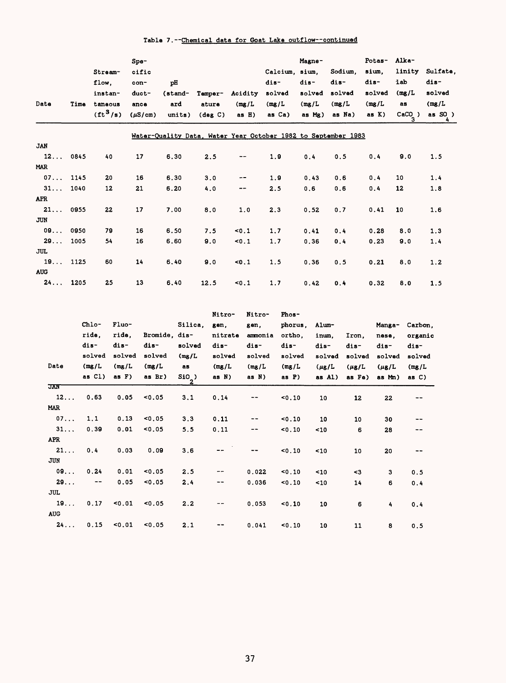|  | Table 7.--Chemical data for Goat Lake outflow--continued |  |  |  |
|--|----------------------------------------------------------|--|--|--|
|  |                                                          |  |  |  |

| Date       | Time | Stream-<br>flow,<br>instan-<br>taneous<br>$({\rm ft}^3/{\rm s})$ | $Spe-$<br>cific<br>con-<br>duct-<br>ance<br>$(\mu S/cm)$ | pH<br>(stand-<br>ard<br>units) | Temper-<br>ature<br>$(\text{deg } C)$ | Acidity<br>(mg/L)<br>$asH$ ) | Calcium.<br>dis-<br>solved<br>(mg/L)<br>as Ca)                | Magne-<br>sium,<br>dis-<br>solved<br>(mg/L)<br>as Mg) | Sodium,<br>dis-<br>solved<br>(mg/L)<br>as Na) | Potas-<br>sium.<br>dis-<br>solved<br>(mg/L)<br>as K) | Alka-<br>linity<br>1ab<br>(mg/L)<br>as<br>$CaCO_$ ) | Sulfate,<br>dis-<br>solved<br>(mg/L)<br>as $SO$ ) |
|------------|------|------------------------------------------------------------------|----------------------------------------------------------|--------------------------------|---------------------------------------|------------------------------|---------------------------------------------------------------|-------------------------------------------------------|-----------------------------------------------|------------------------------------------------------|-----------------------------------------------------|---------------------------------------------------|
|            |      |                                                                  |                                                          |                                |                                       |                              | Water-Quality Data, Water Year October 1982 to September 1983 |                                                       |                                               |                                                      |                                                     |                                                   |
| <b>JAN</b> |      |                                                                  |                                                          |                                |                                       |                              |                                                               |                                                       |                                               |                                                      |                                                     |                                                   |
| 12         | 0845 | 40                                                               | 17                                                       | 6.30                           | 2.5                                   | --                           | 1.9                                                           | 0.4                                                   | 0.5                                           | 0.4                                                  | 9.0                                                 | 1.5                                               |
| <b>MAR</b> |      |                                                                  |                                                          |                                |                                       |                              |                                                               |                                                       |                                               |                                                      |                                                     |                                                   |
| 07         | 1145 | 20                                                               | 16                                                       | 6.30                           | 3.0                                   | --                           | 1.9                                                           | 0.43                                                  | 0.6                                           | 0.4                                                  | 10                                                  | 1.4                                               |
| 31         | 1040 | 12                                                               | 21                                                       | 6.20                           | 4.0                                   | --                           | 2.5                                                           | 0.6                                                   | 0.6                                           | 0.4                                                  | 12                                                  | 1.8                                               |
| <b>APR</b> |      |                                                                  |                                                          |                                |                                       |                              |                                                               |                                                       |                                               |                                                      |                                                     |                                                   |
| 21         | 0955 | 22                                                               | 17                                                       | 7.00                           | 8.0                                   | 1.0                          | 2.3                                                           | 0.52                                                  | 0.7                                           | 0.41                                                 | 10                                                  | 1.6                                               |
| <b>JUN</b> |      |                                                                  |                                                          |                                |                                       |                              |                                                               |                                                       |                                               |                                                      |                                                     |                                                   |
| 09         | 0950 | 79                                                               | 16                                                       | 6.50                           | 7.5                                   | 50.1                         | 1.7                                                           | 0.41                                                  | 0.4                                           | 0.28                                                 | 8.0                                                 | 1.3                                               |
| 29         | 1005 | 54                                                               | 16                                                       | 6.60                           | 9.0                                   | 50.1                         | 1.7                                                           | 0.36                                                  | 0.4                                           | 0.23                                                 | 9.0                                                 | 1.4                                               |
| <b>JUL</b> |      |                                                                  |                                                          |                                |                                       |                              |                                                               |                                                       |                                               |                                                      |                                                     |                                                   |
| 19         | 1125 | 60                                                               | 14                                                       | 6.40                           | 9.0                                   | 50.1                         | 1.5                                                           | 0.36                                                  | 0.5                                           | 0.21                                                 | 8.0                                                 | 1.2                                               |
| <b>AUG</b> |      |                                                                  |                                                          |                                |                                       |                              |                                                               |                                                       |                                               |                                                      |                                                     |                                                   |
| 24         | 1205 | 25                                                               | 13                                                       | 6.40                           | 12.5                                  | 50.1                         | 1.7                                                           | 0.42                                                  | 0.4                                           | 0.32                                                 | 8.0                                                 | 1.5                                               |

| Date       | Chlo-<br>ride,<br>dis-<br>solved<br>(mg/L)<br>as Cl) | Fluo-<br>ride,<br>dis-<br>solved<br>(mg/L)<br>as $F$ ) | <b>Bromide, dis-</b><br>dis-<br>solved<br>(mg/L)<br>as Br) | Silica.<br>solved<br>(mg/L)<br>as<br>$SiO_$ ) | Nitro-<br>gen.<br>nitrate<br>dis-<br>solved<br>(mg/L)<br>as N) | Nitro-<br>gen.<br>ammonia<br>dis-<br>solved<br>(mg/L)<br>as N) | <b>Phos-</b><br>phorus,<br>ortho,<br>dis-<br>solved<br>(mg/L)<br>as $P$ ) | Alum-<br>inum.<br>dis-<br>solved<br>$(\mu g/L)$<br>as Al) | Iron.<br>dis-<br>solved<br>$(\mu$ g/L<br>as Fe) | Manga-<br>nese.<br>dis-<br>solved<br>$(\mu$ g/L<br>as Mn) | Carbon.<br>organic<br>dis-<br>solved<br>(mg/L)<br>as C) |
|------------|------------------------------------------------------|--------------------------------------------------------|------------------------------------------------------------|-----------------------------------------------|----------------------------------------------------------------|----------------------------------------------------------------|---------------------------------------------------------------------------|-----------------------------------------------------------|-------------------------------------------------|-----------------------------------------------------------|---------------------------------------------------------|
| <b>JAN</b> |                                                      |                                                        |                                                            |                                               |                                                                |                                                                |                                                                           |                                                           |                                                 |                                                           |                                                         |
| 12         | 0.63                                                 | 0.05                                                   | 0.05                                                       | 3.1                                           | 0.14                                                           |                                                                | 50.10                                                                     | 10                                                        | 12                                              | 22                                                        |                                                         |
| MAR        |                                                      |                                                        |                                                            |                                               |                                                                |                                                                |                                                                           |                                                           |                                                 |                                                           |                                                         |
| 07         | 1.1                                                  | 0.13                                                   | $0.05$                                                     | 3.3                                           | 0.11                                                           | $- -$                                                          | $0.10$                                                                    | 10                                                        | 10                                              | 30                                                        |                                                         |
| 31         | 0.39                                                 | 0.01                                                   | < 0.05                                                     | 5.5                                           | 0.11                                                           | --                                                             | $0.10$                                                                    | ~10                                                       | 6                                               | 28                                                        |                                                         |
| <b>APR</b> |                                                      |                                                        |                                                            |                                               |                                                                |                                                                |                                                                           |                                                           |                                                 |                                                           |                                                         |
| 21         | 0.4                                                  | 0.03                                                   | 0.09                                                       | 3.6                                           |                                                                |                                                                | $0.10$                                                                    | ~10                                                       | 10                                              | 20                                                        | --                                                      |
| <b>JUN</b> |                                                      |                                                        |                                                            |                                               |                                                                |                                                                |                                                                           |                                                           |                                                 |                                                           |                                                         |
| 09         | 0.24                                                 | 0.01                                                   | 0.05                                                       | 2.5                                           | --                                                             | 0.022                                                          | 50.10                                                                     | $10$                                                      | <3                                              | 3                                                         | 0.5                                                     |
| 29         | $\!-$                                                | 0.05                                                   | < 0.05                                                     | 2.4                                           | --                                                             | 0.036                                                          | $0.10$                                                                    | ~10                                                       | 14                                              | 6                                                         | 0.4                                                     |
| <b>JUL</b> |                                                      |                                                        |                                                            |                                               |                                                                |                                                                |                                                                           |                                                           |                                                 |                                                           |                                                         |
| 19         | 0.17                                                 | $0.01$                                                 | < 0.05                                                     | 2.2                                           |                                                                | 0.053                                                          | 0.10                                                                      | 10                                                        | 6                                               | 4                                                         | 0.4                                                     |
| <b>AUG</b> |                                                      |                                                        |                                                            |                                               |                                                                |                                                                |                                                                           |                                                           |                                                 |                                                           |                                                         |
| 24         | 0.15                                                 | 50.01                                                  | < 0.05                                                     | 2.1                                           |                                                                | 0.041                                                          | $0.10$                                                                    | 10                                                        | 11                                              | 8                                                         | 0.5                                                     |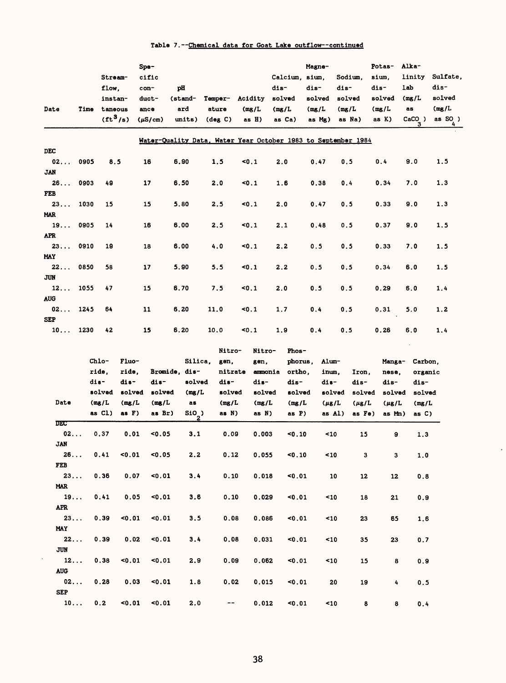| Date             | Time | Stream-<br>flow,<br>instan-<br>taneous<br>$({\rm ft}^3/{\rm s})$ |        | Spe-<br>cific<br>con-<br>duct-<br>ance<br>$(\mu S/cm)$ | рH<br>(stand-<br>ard | units)             | <b>Temper-</b><br>ature<br>$(\text{deg } C)$                  |       | Acidity<br>(mg/L)<br>as H) | dis-<br>solved<br>(mg/L<br>as Ca) | Calcium, sium,   | Magne-<br>dis-<br>solved<br>(mg/L<br>as Mg) |             | Sodium,<br>dis-<br>solved<br>(mg/L)<br>as Na) |                | Potas-<br>sium,<br>dis-<br>solved<br>(mg/L)<br>as K) | Alka-<br>linity<br>lab<br>(mg/L)<br>as<br>$CaCO3$ ) |                       | Sulfate,<br>dis-<br>solved<br>(mg/L)<br>as SO <sub>2</sub> ) |
|------------------|------|------------------------------------------------------------------|--------|--------------------------------------------------------|----------------------|--------------------|---------------------------------------------------------------|-------|----------------------------|-----------------------------------|------------------|---------------------------------------------|-------------|-----------------------------------------------|----------------|------------------------------------------------------|-----------------------------------------------------|-----------------------|--------------------------------------------------------------|
|                  |      |                                                                  |        |                                                        |                      |                    | Water-Quality Data, Water Year October 1983 to September 1984 |       |                            |                                   |                  |                                             |             |                                               |                |                                                      |                                                     |                       |                                                              |
| DEC<br>02        | 0905 | 8.5                                                              |        | 16                                                     | 6.90                 |                    | 1.5                                                           | 50.1  |                            | 2.0                               |                  | 0.47                                        |             | 0.5                                           |                | 0.4                                                  | 9.0                                                 |                       | 1.5                                                          |
| <b>JAN</b>       |      |                                                                  |        |                                                        |                      |                    |                                                               |       |                            |                                   |                  |                                             |             |                                               |                |                                                      |                                                     |                       |                                                              |
| 26<br>FEB        | 0903 | 49                                                               |        | 17                                                     | 6.50                 |                    | 2.0                                                           | 50.1  |                            | 1.6                               |                  | 0.38                                        |             | 0.4                                           |                | 0.34                                                 | 7.0                                                 |                       | 1.3                                                          |
| 23<br><b>MAR</b> | 1030 | 15                                                               |        | 15                                                     | 5.80                 |                    | 2.5                                                           | 10.1  |                            | 2.0                               |                  | 0.47                                        |             | 0.5                                           |                | 0.33                                                 | 9.0                                                 |                       | 1.3                                                          |
| 19<br><b>APR</b> | 0905 | 14                                                               |        | 16                                                     | 6.00                 |                    | 2.5                                                           | <0.1  |                            | 2.1                               |                  | 0.48                                        |             | 0.5                                           |                | 0.37                                                 | 9.0                                                 |                       | 1.5                                                          |
| 23<br><b>MAY</b> | 0910 | 19                                                               |        | 18                                                     | 6.00                 |                    | 4.0                                                           | 50.1  |                            | 2, 2                              |                  | 0.5                                         |             | 0.5                                           |                | 0.33                                                 | 7.0                                                 |                       | 1.5                                                          |
| 22<br>JUN        | 0850 | 58                                                               |        | 17                                                     | 5.90                 |                    | 5.5                                                           | $0.1$ |                            | 2.2                               |                  | 0.5                                         |             | 0.5                                           |                | 0.34                                                 | 6.0                                                 |                       | 1.5                                                          |
| 12<br><b>AUG</b> | 1055 | 47                                                               |        | 15                                                     | 6.70                 |                    | 7.5                                                           | 50.1  |                            | 2.0                               |                  | 0.5                                         |             | 0.5                                           |                | 0.29                                                 | 6.0                                                 |                       | 1.4                                                          |
| 02<br><b>SEP</b> | 1245 | 64                                                               |        | 11                                                     | 6.20                 |                    | 11.0                                                          | <0.1  |                            | 1.7                               |                  | 0.4                                         |             | 0.5                                           |                | 0.31                                                 | 5.0                                                 |                       | 1.2                                                          |
| 10               | 1230 | 42                                                               |        | 15                                                     | 6.20                 |                    | 10.0                                                          | 50.1  |                            | 1.9                               |                  | 0.4                                         |             | 0.5                                           |                | 0.26                                                 | 6.0                                                 |                       | 1.4                                                          |
|                  |      | Chlo-                                                            | Fluo-  |                                                        |                      | Silica,            | Nitro-<br>gen,                                                |       | Nitro-<br>gen,             |                                   | Phos-<br>phorus, |                                             | Alum-       |                                               |                | Manga-                                               |                                                     | Carbon,               |                                                              |
|                  |      | ride,                                                            | ride,  | Bromide, dis-                                          |                      |                    | nitrate                                                       |       | ammonia                    |                                   | ortho,           |                                             | inum,       |                                               | Iron,          | nese,                                                |                                                     | organic               |                                                              |
|                  |      | dis-                                                             | dis-   | dis-                                                   |                      | solved             | dis-                                                          |       | dis-                       |                                   | dis-             |                                             | dis-        |                                               | dis-           | dis-                                                 |                                                     | dis-                  |                                                              |
|                  |      | solved                                                           | solved | solved                                                 |                      | (mg/L)             | solved                                                        |       | solved                     |                                   | solved           |                                             | solved      |                                               | solved         | solved                                               |                                                     | solved                |                                                              |
| Date             |      | (mg/L)                                                           | (mg/L) | (mg/L)                                                 |                      | as                 | (mg/L)                                                        |       | (mg/L)                     |                                   | (mg/L)           |                                             | $(\mu g/L)$ |                                               | $(\mu$ g/L     | $(\mu g/L)$                                          |                                                     | (mg/L)                |                                                              |
|                  |      | as Cl)                                                           | as F)  | as Br)                                                 |                      | SiO <sub>_</sub> ) | as N)                                                         |       | as N)                      |                                   | as P)            |                                             | as Al)      |                                               | as Fe)         | as Mm)                                               |                                                     | as C)                 |                                                              |
| DEC<br>02        |      | 0.37                                                             | 0.01   | 0.05                                                   |                      | 3.1                | 0.09                                                          |       | 0.003                      |                                   | 50.10            |                                             | 10          |                                               | 15             | 9                                                    |                                                     | 1.3                   |                                                              |
| <b>JAN</b><br>26 |      | 0.41                                                             | 10.01  | 0.05                                                   |                      | $2.2$              | 0.12                                                          |       | 0.055                      |                                   | 0.10             |                                             | $\leq 10$   |                                               | 3 <sub>1</sub> | $\mathbf{3}$                                         |                                                     | ${\bf 1.0}$           |                                                              |
| FEB<br>23        |      | 0.36                                                             | 0.07   | $0.01$                                                 |                      | 3.4                | 0.10                                                          |       | 0.018                      |                                   | < 0.01           |                                             | 10          |                                               | 12             | 12                                                   |                                                     | ${\bf 0}$ . ${\bf 8}$ |                                                              |
| <b>MAR</b><br>19 |      | 0.41                                                             | 0.05   | 50.01                                                  |                      | 3.6                | 0.10                                                          |       | 0.029                      |                                   | 0.01             |                                             | 10          |                                               | 18             | 21                                                   |                                                     | 0.9                   |                                                              |
| APR<br>23        |      | 0.39                                                             | 0.01   | $0.01$                                                 |                      | 3.5                | 0.08                                                          |       | 0.086                      |                                   | 0.01             |                                             | 10          |                                               | 23             | 65                                                   |                                                     | 1.6                   |                                                              |
| MAY<br>22        |      | 0.39                                                             | 0.02   | 50.01                                                  |                      | 3.4                | 0.08                                                          |       | 0.031                      |                                   | 0.01             |                                             | 10          |                                               | 35             | 23                                                   |                                                     | 0.7                   |                                                              |
| <b>JUN</b><br>12 |      | 0.38                                                             | 0.01   | < 0.01                                                 |                      | 2.9                | 0.09                                                          |       | 0.062                      |                                   | 50.01            |                                             | 10          |                                               | 15             | 8                                                    |                                                     | 0.9                   |                                                              |
| <b>AUG</b><br>02 |      | 0.28                                                             | 0.03   | 0.01                                                   |                      | 1.8                | 0.02                                                          |       | 0.015                      |                                   | 0.01             |                                             | 20          |                                               | 19             | 4                                                    |                                                     | 0.5                   |                                                              |
| <b>SEP</b><br>10 |      | 0.2                                                              | 0.01   | 0.01                                                   |                      | 2.0                | $- -$                                                         |       | 0.012                      |                                   | 50.01            |                                             | 10          |                                               | 8              | 8                                                    |                                                     | $\mathbf{0}$ . 4      |                                                              |

 $\ddot{\phantom{0}}$ 

## Table 7. --Chemical data for Goat Lake outflow--continued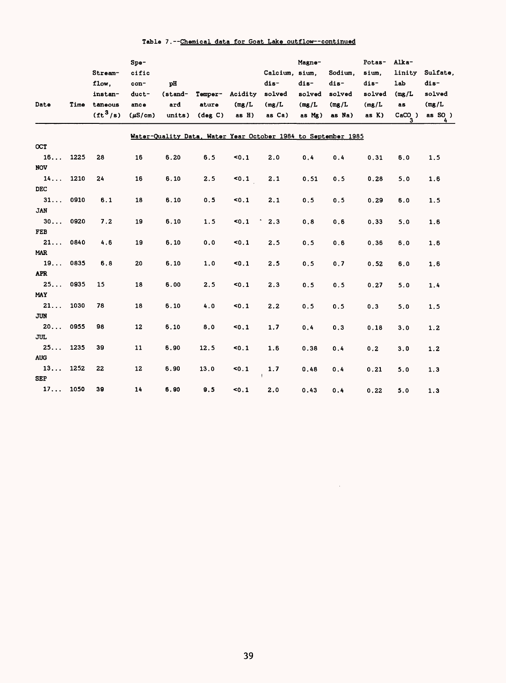| Table 7.--Chemical data for Goat Lake outflow--continued |
|----------------------------------------------------------|
|----------------------------------------------------------|

|                  |      | Stream-              | Spe-<br>cific |         |                   |         | Calcium, sium.                                                | Magne- | Sodium. | Potas-<br>sium. | Alka-<br>linity | Sulfate,  |
|------------------|------|----------------------|---------------|---------|-------------------|---------|---------------------------------------------------------------|--------|---------|-----------------|-----------------|-----------|
|                  |      | flow,                | con-          | pH      |                   |         | dis-                                                          | dis-   | dis-    | $dis-$          | lab             | dis-      |
|                  |      | instan-              | duct-         | (stand- | Temper-           | Acidity | solved                                                        | solved | solved  | solved          | (mg/L)          | solved    |
| Date             | Time | taneous              | ance          | ard     | ature             | (mg/L)  | (mg/L)                                                        | (mg/L) | (mg/L)  | (mg/L)          | as              | (mg/L)    |
|                  |      | (tf <sup>3</sup> /s) | $(\mu S/cm)$  | units)  | $(\text{deg } C)$ | as H)   | as Ca)                                                        | as Mg) | as Na)  | as K)           | $CaCO3$ )       | as $SO$ ) |
|                  |      |                      |               |         |                   |         | Water-Quality Data, Water Year October 1984 to September 1985 |        |         |                 |                 |           |
| OCT              |      |                      |               |         |                   |         |                                                               |        |         |                 |                 |           |
| 16               | 1225 | 28                   | 16            | 6.20    | 6.5               | 50.1    | 2.0                                                           | 0.4    | 0.4     | 0.31            | 6.0             | 1.5       |
| <b>NOV</b>       |      |                      |               |         |                   |         |                                                               |        |         |                 |                 |           |
| 14               | 1210 | 24                   | 16            | 6.10    | 2.5               | 50.1    | 2.1                                                           | 0.51   | 0.5     | 0.28            | 5.0             | 1.6       |
| <b>DEC</b>       |      |                      |               |         |                   |         |                                                               |        |         |                 |                 |           |
| 31               | 0910 | 6.1                  | 18            | 6.10    | 0.5               | 50.1    | 2.1                                                           | 0.5    | 0.5     | 0.29            | 6.0             | 1.5       |
| <b>JAN</b>       |      |                      |               |         |                   |         |                                                               |        |         |                 |                 |           |
| 30               | 0920 | 7.2                  | 19            | 6.10    | 1.5               | 50.1    | 2.3                                                           | 0.8    | 0.6     | 0.33            | 5.0             | 1.6       |
| FEB              |      |                      |               |         |                   |         |                                                               |        |         |                 |                 |           |
| 21               | 0840 | 4.6                  | 19            | 6.10    | 0.0               | 50.1    | 2.5                                                           | 0.5    | 0.6     | 0.36            | 6.0             | 1.6       |
| <b>MAR</b>       |      |                      |               |         |                   |         |                                                               |        |         |                 |                 |           |
| 19<br><b>APR</b> | 0835 | 6.8                  | 20            | 6.10    | 1.0               | 50.1    | 2.5                                                           | 0.5    | 0.7     | 0.52            | 6.0             | 1.6       |
| $25.$ .          | 0935 | 15                   |               |         |                   |         |                                                               |        |         |                 |                 |           |
| <b>MAY</b>       |      |                      | 18            | 6.00    | 2.5               | 50.1    | 2.3                                                           | 0.5    | 0.5     | 0.27            | 5.0             | 1.4       |
| 21               | 1030 | 78                   | 18            | 6.10    | 4.0               | 50.1    | 2.2                                                           | 0.5    | 0.5     | 0.3             | 5.0             | 1.5       |
| <b>JUN</b>       |      |                      |               |         |                   |         |                                                               |        |         |                 |                 |           |
| 20               | 0955 | 98                   | 12            | 6.10    | 8.0               | 50.1    | 1.7                                                           | 0.4    | 0.3     | 0.18            | 3.0             | 1.2       |
| <b>JUL</b>       |      |                      |               |         |                   |         |                                                               |        |         |                 |                 |           |
| 25               | 1235 | 39                   | 11            | 6.90    | 12.5              | 50.1    | 1.6                                                           | 0.38   | 0.4     | 0.2             | 3.0             | 1.2       |
| <b>AUG</b>       |      |                      |               |         |                   |         |                                                               |        |         |                 |                 |           |
| 13               | 1252 | 22                   | 12            | 6.90    | 13.0              | 50.1    | 1.7                                                           | 0.48   | 0.4     | 0.21            | 5.0             | 1.3       |
| <b>SEP</b>       |      |                      |               |         |                   |         |                                                               |        |         |                 |                 |           |
| 17               | 1050 | 39                   | 14            | 6.90    | 9.5               | 50.1    | 2.0                                                           | 0.43   | 0.4     | 0.22            | 5.0             | 1.3       |

 $\mathcal{L}^{\text{max}}_{\text{max}}$  and  $\mathcal{L}^{\text{max}}_{\text{max}}$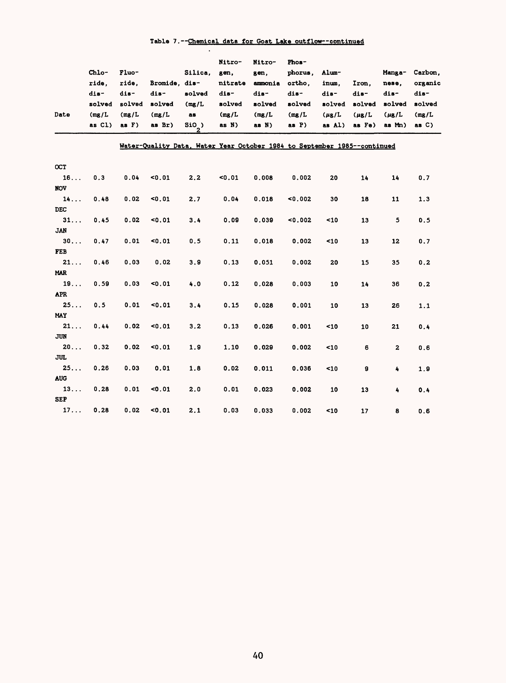|                  |           |          |                                                                          |         | Nitro-  | Nitro-  | Phos-    |            |            |                        |          |
|------------------|-----------|----------|--------------------------------------------------------------------------|---------|---------|---------|----------|------------|------------|------------------------|----------|
|                  | Chlo-     | Fluo-    |                                                                          | Silica, | gen,    | gen.    | phorus,  | Alum-      |            | Manga-                 | Carbon,  |
|                  | ride.     | ride.    | Bromide, dis-                                                            |         | nitrate | ammonia | ortho.   | inum.      | Iron.      | nese.                  | organic  |
|                  | dis-      | dis-     | dis-                                                                     | solved  | dis-    | dis-    | dis-     | dis-       | dis-       | dis-                   | dis-     |
|                  | solved    | solved   | solved                                                                   | (mg/L)  | solved  | solved  | solved   | solved     | solved     | solved                 | solved   |
| Date             | (mg/L)    | (mg/L)   | (mg/L)                                                                   | as      | (mg/L)  | (mg/L)  | (mg/L)   | $(\mu$ g/L | $(\mu$ g/L | $(\mu$ <sub>B</sub> /L | (mg/L)   |
|                  | as $CL$ ) | as $F$ ) | as Br)                                                                   | $SIO$ ) | as N)   | as N)   | as $P$ ) | as Al)     | as Fe)     | as Mn)                 | as $C$ ) |
|                  |           |          | Water-Quality Data, Water Year October 1984 to September 1985--continued |         |         |         |          |            |            |                        |          |
| OCT              |           |          |                                                                          |         |         |         |          |            |            |                        |          |
| 16               | 0.3       | 0.04     | < 0.01                                                                   | 2.2     | $0.01$  | 0.008   | 0.002    | 20         | 14         | 14                     | 0.7      |
| <b>NOV</b>       |           |          |                                                                          |         |         |         |          |            |            |                        |          |
| 14               | 0.48      | 0.02     | $0.01$                                                                   | 2.7     | 0.04    | 0.018   | 0.002    | 30         | 18         | 11                     | 1.3      |
| <b>DEC</b>       |           |          |                                                                          |         |         |         |          |            |            |                        |          |
| 31               | 0.45      | 0.02     | $0.01$                                                                   | 3.4     | 0.09    | 0.039   | 0.002    | 10         | 13         | 5                      | 0.5      |
| <b>JAN</b>       |           |          |                                                                          |         |         |         |          |            |            |                        |          |
| 30               | 0.47      | 0.01     | <0.01                                                                    | 0.5     | 0.11    | 0.018   | 0.002    | 10         | 13         | 12                     | 0.7      |
| <b>FEB</b>       |           |          |                                                                          |         |         |         |          |            |            |                        |          |
| 21               | 0.46      | 0.03     | 0.02                                                                     | 3.9     | 0.13    | 0.051   | 0.002    | 20         | 15         | 35                     | 0.2      |
| <b>MAR</b>       |           |          |                                                                          |         |         |         |          |            |            |                        |          |
| 19               | 0.59      | 0.03     | $0.01$                                                                   | 4.0     | 0.12    | 0.028   | 0.003    | 10         | 14         | 36                     | 0.2      |
| <b>APR</b>       |           |          |                                                                          |         |         |         |          |            |            |                        |          |
| 25               | 0.5       | 0.01     | $0.01$                                                                   | 3.4     | 0.15    | 0.028   | 0.001    | 10         | 13         | 26                     | 1.1      |
| <b>MAY</b>       |           |          |                                                                          |         |         |         |          |            |            |                        |          |
| $21 \ldots$      | 0.44      | 0.02     | $0.01$                                                                   | 3.2     | 0.13    | 0.026   | 0.001    | $10$       | 10         | 21                     | 0.4      |
| <b>JUN</b>       |           |          |                                                                          |         |         |         |          |            |            |                        |          |
| 20               | 0.32      | 0.02     | <0.01                                                                    | 1.9     | 1.10    | 0.029   | 0.002    | 10         | 6          | $\mathbf{z}$           | 0.6      |
| <b>JUL</b>       |           |          |                                                                          |         |         |         |          |            |            |                        |          |
| 25               | 0.26      | 0.03     | 0.01                                                                     | 1.8     | 0.02    | 0.011   | 0.036    | 10         | 9          | 4                      | 1.9      |
| <b>AUG</b>       |           |          |                                                                          |         |         |         |          |            |            |                        |          |
| 13<br><b>SEP</b> | 0.28      | 0.01     | < 0.01                                                                   | 2.0     | 0.01    | 0.023   | 0.002    | 10         | 13         | 4                      | 0.4      |
|                  |           |          |                                                                          |         |         |         |          |            |            |                        |          |
| 17               | 0.28      | 0.02     | <0.01                                                                    | 2.1     | 0.03    | 0.033   | 0.002    | 10         | 17         | 8                      | 0.6      |

# Table 7. --Chemical data for Goat Lake outflow-continued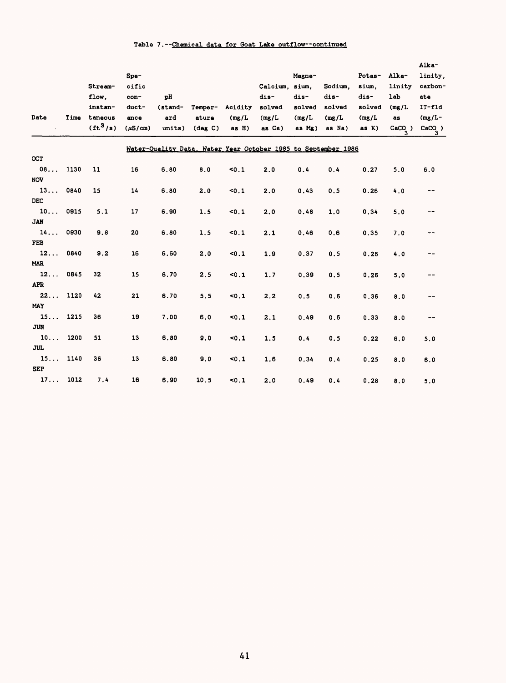## Table 7. --Chemical data for Goat Lake outflow--continued

|                  |      |                        |              |         |                   |         |                                                               |        |         |        |           | Alka-     |
|------------------|------|------------------------|--------------|---------|-------------------|---------|---------------------------------------------------------------|--------|---------|--------|-----------|-----------|
|                  |      |                        | Spe-         |         |                   |         |                                                               | Magne- |         | Potas- | Alka-     | linity,   |
|                  |      | Stream-                | cific        |         |                   |         | Calcium. sium.                                                |        | Sodium. | sium.  | linity    | carbon-   |
|                  |      | flow.                  | con-         | pH      |                   |         | dis-                                                          | dis-   | $dis-$  | dis-   | lab       | at e      |
|                  |      | instan-                | duct-        | (stand- | Temper-           | Acidity | solved                                                        | solved | solved  | solved | (mg/L)    | $IT-fld$  |
| Date             | Time | taneous                | ance         | ard     | ature             | (mg/L)  | (mg/L)                                                        | (mg/L) | (mg/L)  | (mg/L) | <b>as</b> | $(mg/L -$ |
|                  |      | $({\rm ft}^3/{\rm s})$ | $(\mu S/cm)$ | units)  | $(\text{deg } C)$ | as H)   | as Ca)                                                        | as Mg) | as Na)  | as K)  | $CaCO_$ ) | $CaCO_$ ) |
|                  |      |                        |              |         |                   |         | Water-Quality Data, Water Year October 1985 to September 1986 |        |         |        |           |           |
| <b>OCT</b>       |      |                        |              |         |                   |         |                                                               |        |         |        |           |           |
| $08.$            | 1130 | 11                     | 16           | 6.80    | 8.0               | 50.1    | 2.0                                                           | 0.4    | 0.4     | 0.27   | 5.0       | 6.0       |
| <b>NOV</b>       |      |                        |              |         |                   |         |                                                               |        |         |        |           |           |
| 13               | 0840 | 15                     | 14           | 6.80    | 2.0               | 50.1    | 2.0                                                           | 0.43   | 0.5     | 0.26   | 4.0       | --        |
| <b>DEC</b>       |      |                        |              |         |                   |         |                                                               |        |         |        |           |           |
| 10               | 0915 | 5.1                    | 17           | 6.90    | 1.5               | 50.1    | 2.0                                                           | 0.48   | 1.0     | 0.34   | 5.0       | --        |
| <b>JAN</b>       |      |                        |              |         |                   |         |                                                               |        |         |        |           |           |
| 14               | 0930 | 9.8                    | 20           | 6.80    | 1.5               | 50.1    | 2.1                                                           | 0.46   | 0.6     | 0.35   | 7.0       | --        |
| <b>FEB</b>       |      |                        |              |         |                   |         |                                                               |        |         |        |           |           |
| 12               | 0840 | 9.2                    | 16           | 6.60    | 2.0               | 50.1    | 1.9                                                           | 0.37   | 0.5     | 0.26   | 4.0       |           |
| <b>MAR</b>       |      |                        |              |         |                   |         |                                                               |        |         |        |           |           |
| 12               | 0845 | 32                     | 15           | 6.70    | 2.5               | 50.1    | 1.7                                                           | 0.39   | 0.5     | 0.26   | 5.0       | --        |
| <b>APR</b>       |      |                        |              |         |                   |         |                                                               |        |         |        |           |           |
| 22               | 1120 | 42                     | 21           | 6.70    | 5.5               | 50.1    | 2.2                                                           | 0.5    | 0.6     | 0.36   | 8.0       | --        |
| MAY              |      |                        |              |         |                   |         |                                                               |        |         |        |           |           |
| 15<br><b>JUN</b> | 1215 | 36                     | 19           | 7.00    | 6.0               | 50.1    | 2.1                                                           | 0.49   | 0.6     | 0.33   | 8.0       | --        |
| 10               | 1200 | 51                     | 13           | 6.80    | 9.0               |         |                                                               |        |         |        |           |           |
| <b>JUL</b>       |      |                        |              |         |                   | 50.1    | 1.5                                                           | 0.4    | 0.5     | 0.22   | 6,0       | 5.0       |
| 15               | 1140 | 36                     | 13           | 6.80    | 9.0               | 50.1    | 1.6                                                           | 0.34   | 0.4     |        |           |           |
| <b>SEP</b>       |      |                        |              |         |                   |         |                                                               |        |         | 0.25   | 8.0       | 6.0       |
| 17               | 1012 | 7.4                    | 16           | 6.90    | 10.5              | 50.1    | 2.0                                                           | 0.49   | 0.4     | 0.28   | 8.0       | 5.0       |
|                  |      |                        |              |         |                   |         |                                                               |        |         |        |           |           |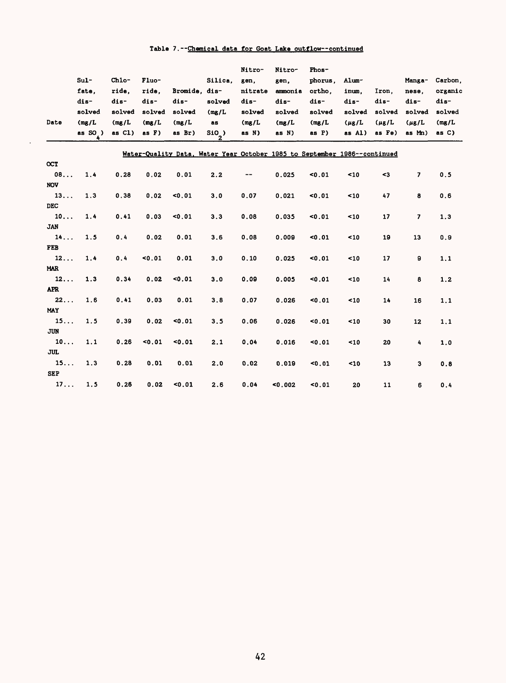# Table 7. --Chemical data for Goat Lake outflow--continued

|                  |                  |           |        |                                                                          |         | Nitro-  | Nitro-  | Phos-   |            |             |                          |         |
|------------------|------------------|-----------|--------|--------------------------------------------------------------------------|---------|---------|---------|---------|------------|-------------|--------------------------|---------|
|                  | $Sul -$          | Chlo-     | Fluo-  |                                                                          | Silica, | gen,    | gen,    | phorus, | Alum-      |             | Manga-                   | Carbon. |
|                  | fate.            | ride.     | ride.  | Bromide. dis-                                                            |         | nitrate | ammonia | ortho.  | inum.      | Iron.       | nese.                    | organic |
|                  | dis-             | dis-      | dis-   | dis-                                                                     | solved  | dis-    | dis-    | dis-    | dis-       | dis-        | dis-                     | dis-    |
|                  | solved           | solved    | solved | solved                                                                   | (mg/L)  | solved  | solved  | solved  | solved     | solved      | solved                   | solved  |
| Date             | (mg/L)           | (mg/L)    | (mg/L) | (mg/L)                                                                   | 88      | (mg/L)  | (mg/L)  | (mg/L)  | $(\mu$ g/L | $(\mu g/L)$ | $(\mu g/L)$              | (mg/L)  |
|                  | as $SO_2$ )<br>4 | as $C1$ ) | as F)  | as Br)                                                                   | $SIO$ ) | as N)   | as N)   | as P)   | as Al)     | as Fe)      | as Mn)                   | as C)   |
|                  |                  |           |        |                                                                          |         |         |         |         |            |             |                          |         |
|                  |                  |           |        | Water-Quality Data, Water Year October 1985 to September 1986--continued |         |         |         |         |            |             |                          |         |
| $_{\rm ocr}$     |                  |           |        |                                                                          |         |         |         |         |            |             |                          |         |
| 08               | 1.4              | 0.28      | 0.02   | 0.01                                                                     | 2.2     | --      | 0.025   | 0.01    | 10         | $3$         | $\overline{\mathbf{z}}$  | 0.5     |
| <b>NOV</b>       |                  |           |        |                                                                          |         |         |         |         |            |             |                          |         |
| 13               | 1.3              | 0.38      | 0.02   | 0.01                                                                     | 3.0     | 0.07    | 0.021   | < 0.01  | $10$       | 47          | 8                        | 0.6     |
| <b>DEC</b>       |                  |           |        |                                                                          |         |         |         |         |            |             |                          |         |
| 10               | 1.4              | 0.41      | 0.03   | < 0.01                                                                   | 3.3     | 0.08    | 0.035   | 0.01    | ~10        | 17          | $\overline{\phantom{a}}$ | 1.3     |
| <b>JAN</b>       |                  |           |        |                                                                          |         |         |         |         |            |             |                          |         |
| 14               | 1.5              | 0.4       | 0.02   | 0.01                                                                     | 3.6     | 0.08    | 0.009   | 0.01    | ~10        | 19          | 13                       | 0.9     |
| <b>FEB</b>       |                  |           |        |                                                                          |         |         |         |         |            |             |                          |         |
| 12               | 1.4              | 0.4       | 0.01   | 0.01                                                                     | 3.0     | 0.10    | 0.025   | 0.01    | < 10       | 17          | 9                        | 1.1     |
| <b>MAR</b>       |                  |           |        |                                                                          |         |         |         |         |            |             |                          |         |
| 12<br><b>APR</b> | 1.3              | 0.34      | 0.02   | 0.01                                                                     | 3.0     | 0.09    | 0.005   | 0.01    | 10         | 14          | 8                        | 1, 2    |
| 22               | 1.6              | 0.41      | 0.03   | 0.01                                                                     | 3.8     | 0.07    | 0.026   |         |            |             |                          |         |
| MAY              |                  |           |        |                                                                          |         |         |         | 0.01    | ~10        | 14          | 16                       | 1.1     |
| 15               | 1.5              | 0.39      | 0.02   | 0.01                                                                     | 3.5     | 0.06    | 0.026   | 0.01    | $10$       | 30          | 12                       | 1.1     |
| <b>JUN</b>       |                  |           |        |                                                                          |         |         |         |         |            |             |                          |         |
| 10               | 1.1              | 0.26      | 0.01   | 0.01                                                                     | 2.1     | 0.04    | 0.016   | 50.01   | $10$       | 20          | 4                        | 1.0     |
| <b>JUL</b>       |                  |           |        |                                                                          |         |         |         |         |            |             |                          |         |
| 15               | 1.3              | 0.28      | 0.01   | 0.01                                                                     | 2.0     | 0.02    | 0.019   | 0.01    | $10$       | 13          | 3                        | 0.8     |
| <b>SEP</b>       |                  |           |        |                                                                          |         |         |         |         |            |             |                          |         |
| 17               | 1.5              | 0.26      | 0.02   | 0.01                                                                     | 2.6     | 0.04    | 0.002   | 0.01    | 20         | 11          | 6                        | 0.4     |
|                  |                  |           |        |                                                                          |         |         |         |         |            |             |                          |         |

 $\sim$   $\sim$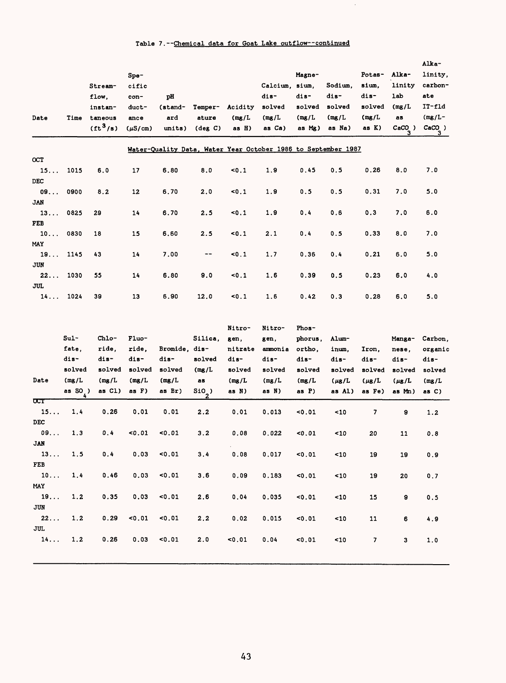## Table 7. --Chemical data for Goat Lake outflow--continued

 $\ddot{\phantom{0}}$ 

| Date       | Time | Stream-<br>flow.<br>instan-<br>taneous<br>$({\rm ft}^3/{\rm s})$ | S <sub>pe</sub><br>cific<br>con-<br>duct-<br>ance<br>$(\mu S/cm)$ | pH<br>(stand-<br>ard<br>units) | Temper-<br>ature<br>$(\text{deg } C)$ | Acidity<br>(mg/L)<br>as $H$ ) | Calcium, sium,<br>dis-<br>solved<br>(mg/L)<br>as Ca)          | Magne-<br>dis-<br>solved<br>(mg/L)<br>as Mg) | Sodium.<br>dis-<br>solved<br>(mg/L)<br>as Na) | Potas-<br>sium.<br>dis-<br>solved<br>(mg/L)<br>as K) | Alka-<br>linity<br><b>lab</b><br>(mg/L)<br>as<br>$CaCO$ )<br>з | Alka-<br>linity,<br>carbon-<br>ate<br>$II-fld$<br>$(mg/L -$<br>CaCO)<br>з |
|------------|------|------------------------------------------------------------------|-------------------------------------------------------------------|--------------------------------|---------------------------------------|-------------------------------|---------------------------------------------------------------|----------------------------------------------|-----------------------------------------------|------------------------------------------------------|----------------------------------------------------------------|---------------------------------------------------------------------------|
|            |      |                                                                  |                                                                   |                                |                                       |                               | Water-Quality Data. Water Year October 1986 to September 1987 |                                              |                                               |                                                      |                                                                |                                                                           |
| <b>OCT</b> |      |                                                                  |                                                                   |                                |                                       |                               |                                                               |                                              |                                               |                                                      |                                                                |                                                                           |
| 15         | 1015 | 6.0                                                              | 17                                                                | 6.80                           | 8.0                                   | 50.1                          | 1.9                                                           | 0.45                                         | 0.5                                           | 0.26                                                 | 8.0                                                            | 7.0                                                                       |
| <b>DEC</b> |      |                                                                  |                                                                   |                                |                                       |                               |                                                               |                                              |                                               |                                                      |                                                                |                                                                           |
| 09         | 0900 | 8.2                                                              | 12                                                                | 6.70                           | 2.0                                   | < 0.1                         | 1.9                                                           | 0.5                                          | 0.5                                           | 0.31                                                 | 7.0                                                            | 5.0                                                                       |
| <b>JAN</b> |      |                                                                  |                                                                   |                                |                                       |                               |                                                               |                                              |                                               |                                                      |                                                                |                                                                           |
| 13         | 0825 | 29                                                               | 14                                                                | 6.70                           | 2.5                                   | 50.1                          | 1.9                                                           | 0.4                                          | 0.6                                           | 0.3                                                  | 7.0                                                            | 6.0                                                                       |
| FEB<br>10  | 0830 | 18                                                               | 15                                                                | 6.60                           | 2.5                                   | 50.1                          | 2.1                                                           | 0.4                                          | 0.5                                           | 0.33                                                 | 8.0                                                            | 7.0                                                                       |
| MAY        |      |                                                                  |                                                                   |                                |                                       |                               |                                                               |                                              |                                               |                                                      |                                                                |                                                                           |
| 19         | 1145 | 43                                                               | 14                                                                | 7.00                           | --                                    | < 0.1                         | 1.7                                                           | 0.36                                         | 0.4                                           | 0.21                                                 | 6.0                                                            | 5.0                                                                       |
| JUN        |      |                                                                  |                                                                   |                                |                                       |                               |                                                               |                                              |                                               |                                                      |                                                                |                                                                           |
| 22         | 1030 | 55                                                               | 14                                                                | 6.80                           | 9.0                                   | 50.1                          | 1.6                                                           | 0.39                                         | 0.5                                           | 0.23                                                 | 6.0                                                            | 4.0                                                                       |
| <b>JUL</b> |      |                                                                  |                                                                   |                                |                                       |                               |                                                               |                                              |                                               |                                                      |                                                                |                                                                           |
| 14         | 1024 | 39                                                               | 13                                                                | 6.90                           | 12.0                                  | 50.1                          | 1.6                                                           | 0.42                                         | 0.3                                           | 0.28                                                 | 6.0                                                            | 5.0                                                                       |

| Date                    | $Sul -$<br>fate.<br>dis-<br>solved<br>(mg/L)<br>as $SO$ ) | Chlo-<br>ride.<br>dis-<br>solved<br>(mg/L)<br>as $CL$ ) | Fluo-<br>ride.<br>dis-<br>solved<br>(mg/L)<br>as F) | Bromide.<br>dis-<br>solved<br>(mg/L)<br>as Br) | Silica.<br>dis-<br>solved<br>(mg/L)<br>as<br>$S10$ ) | Nitro-<br>gen.<br>nitrate<br>dis-<br>solved<br>(mg/L)<br>as N) | Nitro-<br>gen.<br>ammonia<br>dis-<br>solved<br>(mg/L)<br>as N) | Phos-<br>phorus,<br>ortho.<br>dis-<br>solved<br>(mg/L)<br>as $P$ ) | Alum-<br>inum.<br>dis-<br>solved<br>$(\mu g/L)$<br>as Al) | Iron,<br>$dis-$<br>solved<br>$(\mu$ g/L<br>as Fe) | Manga-<br>nese.<br>dis-<br>solved<br>$(\mu$ g/L<br>as Mn) | Carbon.<br>organic<br>dis-<br>solved<br>(mg/L)<br>as <sub>C</sub> |
|-------------------------|-----------------------------------------------------------|---------------------------------------------------------|-----------------------------------------------------|------------------------------------------------|------------------------------------------------------|----------------------------------------------------------------|----------------------------------------------------------------|--------------------------------------------------------------------|-----------------------------------------------------------|---------------------------------------------------|-----------------------------------------------------------|-------------------------------------------------------------------|
| $\overline{\text{CCT}}$ |                                                           |                                                         |                                                     |                                                |                                                      |                                                                |                                                                |                                                                    |                                                           |                                                   |                                                           |                                                                   |
| 15                      | 1.4                                                       | 0.26                                                    | 0.01                                                | 0.01                                           | 2.2                                                  | 0.01                                                           | 0.013                                                          | 0.01                                                               | ~10                                                       | $\overline{\phantom{a}}$                          | 9                                                         | 1.2                                                               |
| <b>DEC</b>              |                                                           |                                                         |                                                     |                                                |                                                      |                                                                |                                                                |                                                                    |                                                           |                                                   |                                                           |                                                                   |
| 09                      | 1.3                                                       | 0.4                                                     | 0.01                                                | 0.01                                           | 3.2                                                  | 0.08                                                           | 0.022                                                          | 0.01                                                               | ~10                                                       | 20                                                | 11                                                        | 0.8                                                               |
| <b>JAN</b>              |                                                           |                                                         |                                                     |                                                |                                                      |                                                                |                                                                |                                                                    |                                                           |                                                   |                                                           |                                                                   |
| 13                      | 1.5                                                       | 0.4                                                     | 0.03                                                | < 0.01                                         | 3.4                                                  | 0.08                                                           | 0.017                                                          | < 0.01                                                             | $10$                                                      | 19                                                | 19                                                        | 0.9                                                               |
| <b>FEB</b>              |                                                           |                                                         |                                                     |                                                |                                                      |                                                                |                                                                |                                                                    |                                                           |                                                   |                                                           |                                                                   |
| 10                      | 1.4                                                       | 0.46                                                    | 0.03                                                | < 0.01                                         | 3.6                                                  | 0.09                                                           | 0.183                                                          | < 0.01                                                             | ~10                                                       | 19                                                | 20                                                        | 0.7                                                               |
| MAY                     |                                                           |                                                         |                                                     |                                                |                                                      |                                                                |                                                                |                                                                    |                                                           |                                                   |                                                           |                                                                   |
| 19                      | 1.2                                                       | 0.35                                                    | 0.03                                                | 0.01                                           | 2.6                                                  | 0.04                                                           | 0.035                                                          | < 0.01                                                             | ~10                                                       | 15                                                | 9                                                         | 0.5                                                               |
| JUN                     |                                                           |                                                         |                                                     |                                                |                                                      |                                                                |                                                                |                                                                    |                                                           |                                                   |                                                           |                                                                   |
| 22                      | 1.2                                                       | 0.29                                                    | < 0.01                                              | < 0.01                                         | 2.2                                                  | 0.02                                                           | 0.015                                                          | < 0.01                                                             | ~10                                                       | 11                                                | 6                                                         | 4.9                                                               |
| JUL.                    |                                                           |                                                         |                                                     |                                                |                                                      |                                                                |                                                                |                                                                    |                                                           |                                                   |                                                           |                                                                   |
| 14                      | 1.2                                                       | 0.26                                                    | 0.03                                                | < 0.01                                         | 2.0                                                  | < 0.01                                                         | 0.04                                                           | 0.01                                                               | 10                                                        | 7                                                 | 3                                                         | 1.0                                                               |
|                         |                                                           |                                                         |                                                     |                                                |                                                      |                                                                |                                                                |                                                                    |                                                           |                                                   |                                                           |                                                                   |